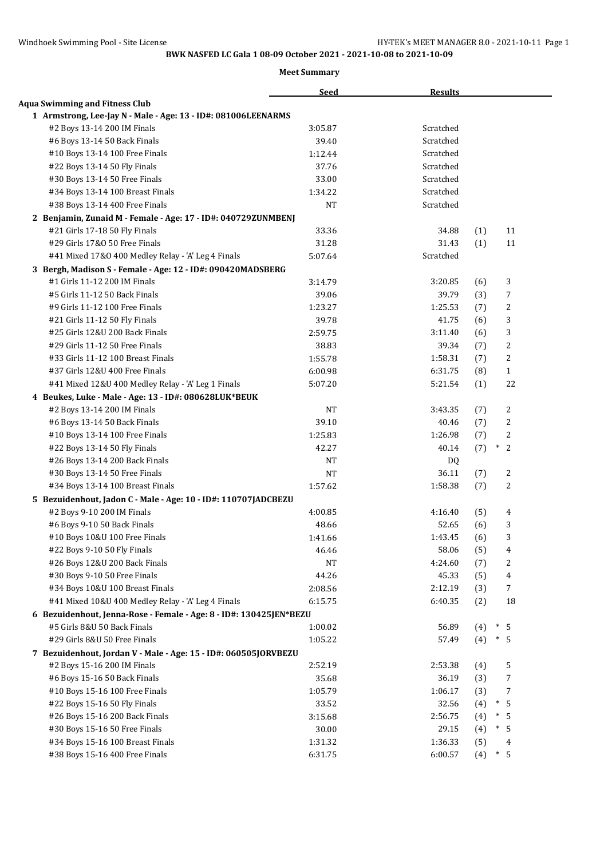|                                                                                      | <b>Seed</b> | <b>Results</b> |            |                |
|--------------------------------------------------------------------------------------|-------------|----------------|------------|----------------|
| <b>Aqua Swimming and Fitness Club</b>                                                |             |                |            |                |
| 1 Armstrong, Lee-Jay N - Male - Age: 13 - ID#: 081006LEENARMS                        |             |                |            |                |
| #2 Boys 13-14 200 IM Finals                                                          | 3:05.87     | Scratched      |            |                |
| #6 Boys 13-14 50 Back Finals                                                         | 39.40       | Scratched      |            |                |
| #10 Boys 13-14 100 Free Finals                                                       | 1:12.44     | Scratched      |            |                |
| #22 Boys 13-14 50 Fly Finals                                                         | 37.76       | Scratched      |            |                |
| #30 Boys 13-14 50 Free Finals                                                        | 33.00       | Scratched      |            |                |
| #34 Boys 13-14 100 Breast Finals                                                     | 1:34.22     | Scratched      |            |                |
| #38 Boys 13-14 400 Free Finals                                                       | <b>NT</b>   | Scratched      |            |                |
| 2 Benjamin, Zunaid M - Female - Age: 17 - ID#: 040729ZUNMBENJ                        |             |                |            |                |
| #21 Girls 17-18 50 Fly Finals                                                        | 33.36       | 34.88          | (1)        | 11             |
| #29 Girls 17&0 50 Free Finals                                                        | 31.28       | 31.43          | (1)        | 11             |
| #41 Mixed 17&0 400 Medley Relay - 'A' Leg 4 Finals                                   | 5:07.64     | Scratched      |            |                |
| 3 Bergh, Madison S - Female - Age: 12 - ID#: 090420MADSBERG                          |             |                |            |                |
| #1 Girls 11-12 200 IM Finals                                                         | 3:14.79     | 3:20.85        | (6)        | 3              |
| #5 Girls 11-12 50 Back Finals                                                        | 39.06       | 39.79          | (3)        | 7              |
| #9 Girls 11-12 100 Free Finals                                                       | 1:23.27     | 1:25.53        | (7)        | 2              |
| #21 Girls 11-12 50 Fly Finals                                                        | 39.78       | 41.75          | (6)        | 3              |
| #25 Girls 12&U 200 Back Finals                                                       | 2:59.75     | 3:11.40        | (6)        | 3              |
| #29 Girls 11-12 50 Free Finals                                                       | 38.83       | 39.34          | (7)        | 2              |
| #33 Girls 11-12 100 Breast Finals                                                    | 1:55.78     | 1:58.31        | (7)        | 2              |
| #37 Girls 12&U 400 Free Finals                                                       | 6:00.98     | 6:31.75        | (8)        | $\mathbf{1}$   |
| #41 Mixed 12&U 400 Medley Relay - 'A' Leg 1 Finals                                   | 5:07.20     | 5:21.54        | (1)        | 22             |
|                                                                                      |             |                |            |                |
| 4 Beukes, Luke - Male - Age: 13 - ID#: 080628LUK*BEUK<br>#2 Boys 13-14 200 IM Finals | <b>NT</b>   | 3:43.35        | (7)        | 2              |
|                                                                                      | 39.10       | 40.46          |            | 2              |
| #6 Boys 13-14 50 Back Finals                                                         | 1:25.83     | 1:26.98        | (7)        | 2              |
| #10 Boys 13-14 100 Free Finals                                                       | 42.27       | 40.14          | (7)<br>(7) | $\ast$<br>2    |
| #22 Boys 13-14 50 Fly Finals                                                         | <b>NT</b>   |                |            |                |
| #26 Boys 13-14 200 Back Finals                                                       |             | DQ             |            |                |
| #30 Boys 13-14 50 Free Finals                                                        | <b>NT</b>   | 36.11          | (7)        | 2              |
| #34 Boys 13-14 100 Breast Finals                                                     | 1:57.62     | 1:58.38        | (7)        | 2              |
| 5 Bezuidenhout, Jadon C - Male - Age: 10 - ID#: 110707JADCBEZU                       | 4:00.85     |                |            |                |
| #2 Boys 9-10 200 IM Finals                                                           |             | 4:16.40        | (5)        | 4              |
| #6 Boys 9-10 50 Back Finals                                                          | 48.66       | 52.65          | (6)        | 3              |
| #10 Boys 10&U 100 Free Finals                                                        | 1:41.66     | 1:43.45        | (6)        | 3              |
| #22 Boys 9-10 50 Fly Finals                                                          | 46.46       | 58.06          | (5)        | 4              |
| #26 Boys 12&U 200 Back Finals                                                        | <b>NT</b>   | 4:24.60        | (7)        | 2              |
| #30 Boys 9-10 50 Free Finals                                                         | 44.26       | 45.33          | (5)        | $\overline{4}$ |
| #34 Boys 10&U 100 Breast Finals                                                      | 2:08.56     | 2:12.19        | (3)        | $\overline{7}$ |
| #41 Mixed 10&U 400 Medley Relay - 'A' Leg 4 Finals                                   | 6:15.75     | 6:40.35        | (2)        | 18             |
| 6 Bezuidenhout, Jenna-Rose - Female - Age: 8 - ID#: 130425JEN*BEZU                   |             |                |            |                |
| #5 Girls 8&U 50 Back Finals                                                          | 1:00.02     | 56.89          | (4)        | $\ast$<br>- 5  |
| #29 Girls 8&U 50 Free Finals                                                         | 1:05.22     | 57.49          | (4)        | $\ast$<br>-5   |
| 7 Bezuidenhout, Jordan V - Male - Age: 15 - ID#: 060505JORVBEZU                      |             |                |            |                |
| #2 Boys 15-16 200 IM Finals                                                          | 2:52.19     | 2:53.38        | (4)        | 5              |
| #6 Boys 15-16 50 Back Finals                                                         | 35.68       | 36.19          | (3)        | 7              |
| #10 Boys 15-16 100 Free Finals                                                       | 1:05.79     | 1:06.17        | (3)        | 7              |
| #22 Boys 15-16 50 Fly Finals                                                         | 33.52       | 32.56          | (4)        | $\ast$<br>- 5  |
| #26 Boys 15-16 200 Back Finals                                                       | 3:15.68     | 2:56.75        | (4)        | $\ast$<br>5    |
| #30 Boys 15-16 50 Free Finals                                                        | 30.00       | 29.15          | (4)        | $\ast$<br>5    |
| #34 Boys 15-16 100 Breast Finals                                                     | 1:31.32     | 1:36.33        | (5)        | 4              |
| #38 Boys 15-16 400 Free Finals                                                       | 6:31.75     | 6:00.57        | (4)        | $\ast$<br>5    |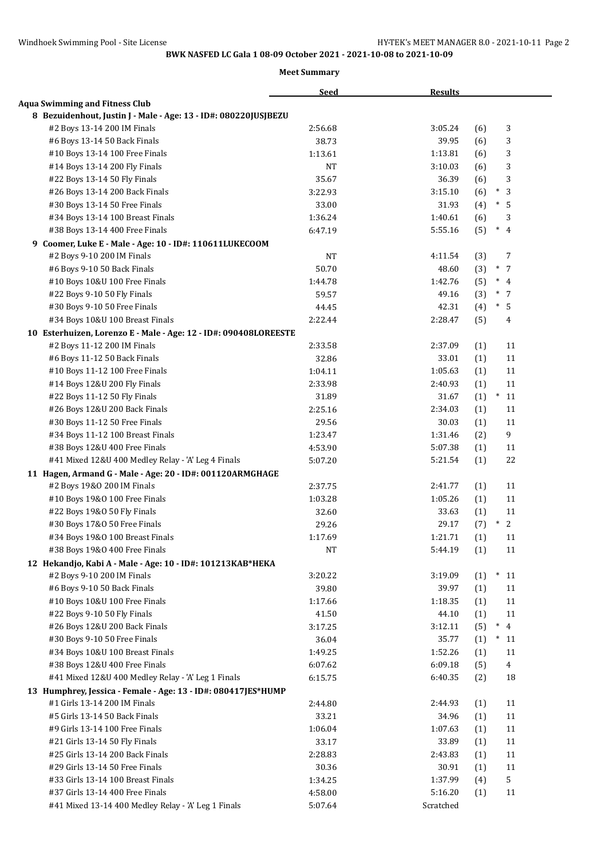|                                                                  | <b>Seed</b> | <b>Results</b> |                       |
|------------------------------------------------------------------|-------------|----------------|-----------------------|
| <b>Aqua Swimming and Fitness Club</b>                            |             |                |                       |
| 8 Bezuidenhout, Justin J - Male - Age: 13 - ID#: 080220JUSJBEZU  |             |                |                       |
| #2 Boys 13-14 200 IM Finals                                      | 2:56.68     | 3:05.24        | 3<br>(6)              |
| #6 Boys 13-14 50 Back Finals                                     | 38.73       | 39.95          | 3<br>(6)              |
| #10 Boys 13-14 100 Free Finals                                   | 1:13.61     | 1:13.81        | 3<br>(6)              |
| #14 Boys 13-14 200 Fly Finals                                    | NT          | 3:10.03        | 3<br>(6)              |
| #22 Boys 13-14 50 Fly Finals                                     | 35.67       | 36.39          | 3<br>(6)              |
| #26 Boys 13-14 200 Back Finals                                   | 3:22.93     | 3:15.10        | $\ast$<br>3<br>(6)    |
| #30 Boys 13-14 50 Free Finals                                    | 33.00       | 31.93          | $\ast$<br>5<br>(4)    |
| #34 Boys 13-14 100 Breast Finals                                 | 1:36.24     | 1:40.61        | 3<br>(6)              |
| #38 Boys 13-14 400 Free Finals                                   | 6:47.19     | 5:55.16        | $\ast$<br>(5)<br>4    |
| 9 Coomer, Luke E - Male - Age: 10 - ID#: 110611LUKECOOM          |             |                |                       |
| #2 Boys 9-10 200 IM Finals                                       | <b>NT</b>   | 4:11.54        | (3)<br>7              |
| #6 Boys 9-10 50 Back Finals                                      | 50.70       | 48.60          | $\ast$<br>7<br>(3)    |
| #10 Boys 10&U 100 Free Finals                                    | 1:44.78     | 1:42.76        | $*$ 4<br>(5)          |
| #22 Boys 9-10 50 Fly Finals                                      | 59.57       | 49.16          | $*$ 7<br>(3)          |
| #30 Boys 9-10 50 Free Finals                                     | 44.45       | 42.31          | $*$ 5<br>(4)          |
| #34 Boys 10&U 100 Breast Finals                                  | 2:22.44     | 2:28.47        | (5)<br>4              |
| 10 Esterhuizen, Lorenzo E - Male - Age: 12 - ID#: 090408LOREESTE |             |                |                       |
| #2 Boys 11-12 200 IM Finals                                      | 2:33.58     | 2:37.09        | 11<br>(1)             |
| #6 Boys 11-12 50 Back Finals                                     | 32.86       | 33.01          | (1)<br>11             |
| #10 Boys 11-12 100 Free Finals                                   | 1:04.11     | 1:05.63        | 11<br>(1)             |
| #14 Boys 12&U 200 Fly Finals                                     | 2:33.98     | 2:40.93        | (1)<br>11             |
| #22 Boys 11-12 50 Fly Finals                                     | 31.89       | 31.67          | (1)<br>$\ast$<br>11   |
| #26 Boys 12&U 200 Back Finals                                    | 2:25.16     | 2:34.03        | (1)<br>11             |
| #30 Boys 11-12 50 Free Finals                                    | 29.56       | 30.03          | 11<br>(1)             |
| #34 Boys 11-12 100 Breast Finals                                 | 1:23.47     | 1:31.46        | 9<br>(2)              |
| #38 Boys 12&U 400 Free Finals                                    | 4:53.90     | 5:07.38        | 11<br>(1)             |
| #41 Mixed 12&U 400 Medley Relay - 'A' Leg 4 Finals               | 5:07.20     | 5:21.54        | 22<br>(1)             |
| 11 Hagen, Armand G - Male - Age: 20 - ID#: 001120ARMGHAGE        |             |                |                       |
| #2 Boys 19&0 200 IM Finals                                       | 2:37.75     | 2:41.77        | 11<br>(1)             |
| #10 Boys 19&0 100 Free Finals                                    | 1:03.28     | 1:05.26        | (1)<br>11             |
| #22 Boys 19&0 50 Fly Finals                                      | 32.60       | 33.63          | 11<br>(1)             |
| #30 Boys 17&0 50 Free Finals                                     | 29.26       | 29.17          | $\ast$<br>2<br>(7)    |
| #34 Boys 19&0 100 Breast Finals                                  | 1:17.69     | 1:21.71        | (1)<br>11             |
| #38 Boys 19&0 400 Free Finals                                    | NT          | 5:44.19        | 11<br>(1)             |
| 12 Hekandjo, Kabi A - Male - Age: 10 - ID#: 101213KAB*HEKA       |             |                |                       |
| #2 Boys 9-10 200 IM Finals                                       | 3:20.22     | 3:19.09        | $\ast$<br>(1)<br>11   |
| #6 Boys 9-10 50 Back Finals                                      | 39.80       | 39.97          | (1)<br>11             |
| #10 Boys 10&U 100 Free Finals                                    | 1:17.66     | 1:18.35        | (1)<br>11             |
| #22 Boys 9-10 50 Fly Finals                                      | 41.50       | 44.10          | (1)<br>11             |
| #26 Boys 12&U 200 Back Finals                                    | 3:17.25     | 3:12.11        | $\ast$<br>4<br>(5)    |
| #30 Boys 9-10 50 Free Finals                                     | 36.04       | 35.77          | $\ast$<br>(1)<br>11   |
| #34 Boys 10&U 100 Breast Finals                                  | 1:49.25     | 1:52.26        | (1)<br>11             |
| #38 Boys 12&U 400 Free Finals                                    | 6:07.62     | 6:09.18        | $\overline{4}$<br>(5) |
| #41 Mixed 12&U 400 Medley Relay - 'A' Leg 1 Finals               | 6:15.75     | 6:40.35        | 18<br>(2)             |
| 13 Humphrey, Jessica - Female - Age: 13 - ID#: 080417JES*HUMP    |             |                |                       |
| #1 Girls 13-14 200 IM Finals                                     | 2:44.80     | 2:44.93        | 11<br>(1)             |
| #5 Girls 13-14 50 Back Finals                                    | 33.21       | 34.96          | 11<br>(1)             |
| #9 Girls 13-14 100 Free Finals                                   | 1:06.04     | 1:07.63        | 11<br>(1)             |
| #21 Girls 13-14 50 Fly Finals                                    | 33.17       | 33.89          | (1)<br>11             |
| #25 Girls 13-14 200 Back Finals                                  | 2:28.83     | 2:43.83        | 11<br>(1)             |
| #29 Girls 13-14 50 Free Finals                                   | 30.36       | 30.91          | 11<br>(1)             |
| #33 Girls 13-14 100 Breast Finals                                | 1:34.25     | 1:37.99        | 5<br>(4)              |
| #37 Girls 13-14 400 Free Finals                                  | 4:58.00     | 5:16.20        | (1)<br>11             |
| #41 Mixed 13-14 400 Medley Relay - 'A' Leg 1 Finals              | 5:07.64     | Scratched      |                       |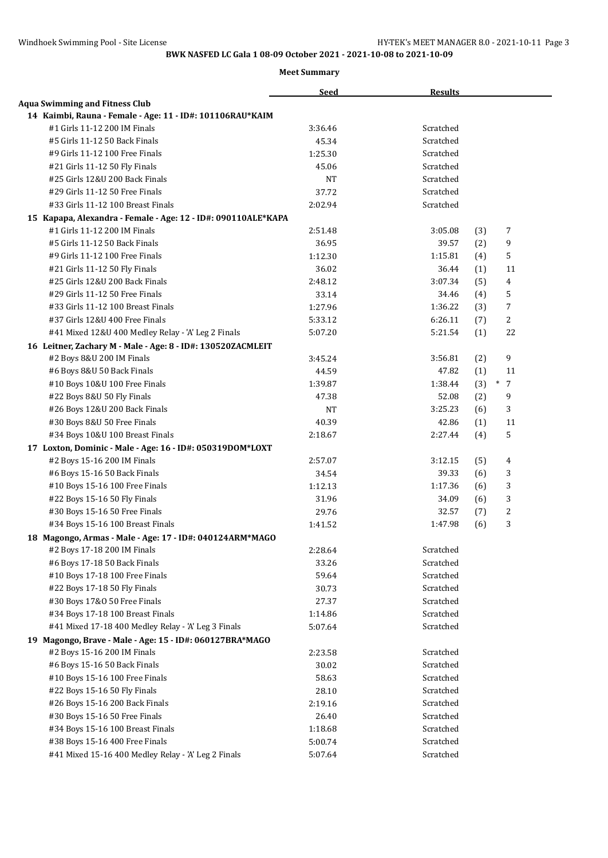|                                                               | <b>Seed</b> | <b>Results</b> |     |                  |  |
|---------------------------------------------------------------|-------------|----------------|-----|------------------|--|
| <b>Aqua Swimming and Fitness Club</b>                         |             |                |     |                  |  |
| 14 Kaimbi, Rauna - Female - Age: 11 - ID#: 101106RAU*KAIM     |             |                |     |                  |  |
| #1 Girls 11-12 200 IM Finals                                  | 3:36.46     | Scratched      |     |                  |  |
| #5 Girls 11-12 50 Back Finals                                 | 45.34       | Scratched      |     |                  |  |
| #9 Girls 11-12 100 Free Finals                                | 1:25.30     | Scratched      |     |                  |  |
| #21 Girls 11-12 50 Fly Finals                                 | 45.06       | Scratched      |     |                  |  |
| #25 Girls 12&U 200 Back Finals                                | <b>NT</b>   | Scratched      |     |                  |  |
| #29 Girls 11-12 50 Free Finals                                | 37.72       | Scratched      |     |                  |  |
| #33 Girls 11-12 100 Breast Finals                             | 2:02.94     | Scratched      |     |                  |  |
| 15 Kapapa, Alexandra - Female - Age: 12 - ID#: 090110ALE*KAPA |             |                |     |                  |  |
| #1 Girls 11-12 200 IM Finals                                  | 2:51.48     | 3:05.08        | (3) | 7                |  |
| #5 Girls 11-12 50 Back Finals                                 | 36.95       | 39.57          | (2) | 9                |  |
| #9 Girls 11-12 100 Free Finals                                | 1:12.30     | 1:15.81        | (4) | 5                |  |
| #21 Girls 11-12 50 Fly Finals                                 | 36.02       | 36.44          | (1) | 11               |  |
| #25 Girls 12&U 200 Back Finals                                | 2:48.12     | 3:07.34        | (5) | 4                |  |
| #29 Girls 11-12 50 Free Finals                                | 33.14       | 34.46          | (4) | 5                |  |
| #33 Girls 11-12 100 Breast Finals                             | 1:27.96     | 1:36.22        | (3) | $\overline{7}$   |  |
| #37 Girls 12&U 400 Free Finals                                | 5:33.12     | 6:26.11        | (7) | 2                |  |
| #41 Mixed 12&U 400 Medley Relay - 'A' Leg 2 Finals            | 5:07.20     | 5:21.54        | (1) | 22               |  |
| 16 Leitner, Zachary M - Male - Age: 8 - ID#: 130520ZACMLEIT   |             |                |     |                  |  |
| #2 Boys 8&U 200 IM Finals                                     | 3:45.24     | 3:56.81        | (2) | 9                |  |
| #6 Boys 8&U 50 Back Finals                                    | 44.59       | 47.82          | (1) | 11               |  |
| #10 Boys 10&U 100 Free Finals                                 | 1:39.87     | 1:38.44        | (3) | $\ast$<br>7      |  |
| #22 Boys 8&U 50 Fly Finals                                    | 47.38       | 52.08          | (2) | 9                |  |
| #26 Boys 12&U 200 Back Finals                                 | NT          | 3:25.23        | (6) | 3                |  |
| #30 Boys 8&U 50 Free Finals                                   | 40.39       | 42.86          | (1) | 11               |  |
| #34 Boys 10&U 100 Breast Finals                               | 2:18.67     | 2:27.44        | (4) | 5                |  |
| 17 Loxton, Dominic - Male - Age: 16 - ID#: 050319DOM*LOXT     |             |                |     |                  |  |
| #2 Boys 15-16 200 IM Finals                                   | 2:57.07     | 3:12.15        | (5) | 4                |  |
| #6 Boys 15-16 50 Back Finals                                  | 34.54       | 39.33          | (6) | 3                |  |
| #10 Boys 15-16 100 Free Finals                                | 1:12.13     | 1:17.36        | (6) | 3                |  |
| #22 Boys 15-16 50 Fly Finals                                  | 31.96       | 34.09          |     | 3                |  |
|                                                               | 29.76       | 32.57          | (6) | $\boldsymbol{2}$ |  |
| #30 Boys 15-16 50 Free Finals                                 |             | 1:47.98        | (7) | 3                |  |
| #34 Boys 15-16 100 Breast Finals                              | 1:41.52     |                | (6) |                  |  |
| 18 Magongo, Armas - Male - Age: 17 - ID#: 040124ARM*MAGO      |             |                |     |                  |  |
| #2 Boys 17-18 200 IM Finals                                   | 2:28.64     | Scratched      |     |                  |  |
| #6 Boys 17-18 50 Back Finals                                  | 33.26       | Scratched      |     |                  |  |
| #10 Boys 17-18 100 Free Finals                                | 59.64       | Scratched      |     |                  |  |
| #22 Boys 17-18 50 Fly Finals                                  | 30.73       | Scratched      |     |                  |  |
| #30 Boys 17&0 50 Free Finals                                  | 27.37       | Scratched      |     |                  |  |
| #34 Boys 17-18 100 Breast Finals                              | 1:14.86     | Scratched      |     |                  |  |
| #41 Mixed 17-18 400 Medley Relay - 'A' Leg 3 Finals           | 5:07.64     | Scratched      |     |                  |  |
| 19 Magongo, Brave - Male - Age: 15 - ID#: 060127BRA*MAGO      |             |                |     |                  |  |
| #2 Boys 15-16 200 IM Finals                                   | 2:23.58     | Scratched      |     |                  |  |
| #6 Boys 15-16 50 Back Finals                                  | 30.02       | Scratched      |     |                  |  |
| #10 Boys 15-16 100 Free Finals                                | 58.63       | Scratched      |     |                  |  |
| #22 Boys 15-16 50 Fly Finals                                  | 28.10       | Scratched      |     |                  |  |
| #26 Boys 15-16 200 Back Finals                                | 2:19.16     | Scratched      |     |                  |  |
| #30 Boys 15-16 50 Free Finals                                 | 26.40       | Scratched      |     |                  |  |
| #34 Boys 15-16 100 Breast Finals                              | 1:18.68     | Scratched      |     |                  |  |
| #38 Boys 15-16 400 Free Finals                                | 5:00.74     | Scratched      |     |                  |  |
| #41 Mixed 15-16 400 Medley Relay - 'A' Leg 2 Finals           | 5:07.64     | Scratched      |     |                  |  |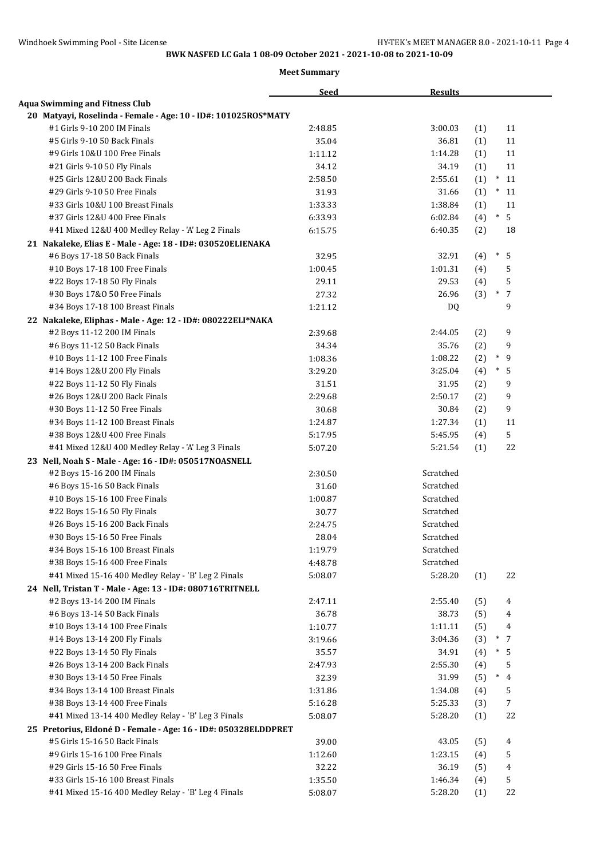|                                                                 | <b>Seed</b> | <b>Results</b> |     |                             |
|-----------------------------------------------------------------|-------------|----------------|-----|-----------------------------|
| <b>Aqua Swimming and Fitness Club</b>                           |             |                |     |                             |
| 20 Matyayi, Roselinda - Female - Age: 10 - ID#: 101025ROS*MATY  |             |                |     |                             |
| #1 Girls 9-10 200 IM Finals                                     | 2:48.85     | 3:00.03        | (1) | 11                          |
| #5 Girls 9-10 50 Back Finals                                    | 35.04       | 36.81          | (1) | 11                          |
| #9 Girls 10&U 100 Free Finals                                   | 1:11.12     | 1:14.28        | (1) | 11                          |
| #21 Girls 9-10 50 Fly Finals                                    | 34.12       | 34.19          | (1) | 11                          |
| #25 Girls 12&U 200 Back Finals                                  | 2:58.50     | 2:55.61        | (1) | $\ast$<br>11                |
| #29 Girls 9-10 50 Free Finals                                   | 31.93       | 31.66          | (1) | $\ast$<br>11                |
| #33 Girls 10&U 100 Breast Finals                                | 1:33.33     | 1:38.84        | (1) | 11                          |
| #37 Girls 12&U 400 Free Finals                                  | 6:33.93     | 6:02.84        | (4) | $\ast$<br>5                 |
| #41 Mixed 12&U 400 Medley Relay - 'A' Leg 2 Finals              | 6:15.75     | 6:40.35        | (2) | 18                          |
| 21 Nakaleke, Elias E - Male - Age: 18 - ID#: 030520ELIENAKA     |             |                |     |                             |
| #6 Boys 17-18 50 Back Finals                                    | 32.95       | 32.91          | (4) | $*$ 5                       |
| #10 Boys 17-18 100 Free Finals                                  | 1:00.45     | 1:01.31        | (4) | 5                           |
| #22 Boys 17-18 50 Fly Finals                                    | 29.11       | 29.53          | (4) | 5                           |
| #30 Boys 17&0 50 Free Finals                                    | 27.32       | 26.96          | (3) | $\ast$<br>$\overline{7}$    |
| #34 Boys 17-18 100 Breast Finals                                | 1:21.12     | DQ.            |     | 9                           |
| 22 Nakaleke, Eliphas - Male - Age: 12 - ID#: 080222ELI*NAKA     |             |                |     |                             |
| #2 Boys 11-12 200 IM Finals                                     | 2:39.68     | 2:44.05        | (2) | 9                           |
| #6 Boys 11-12 50 Back Finals                                    | 34.34       | 35.76          | (2) | 9                           |
| #10 Boys 11-12 100 Free Finals                                  | 1:08.36     | 1:08.22        | (2) | $\ast$<br>9                 |
| #14 Boys 12&U 200 Fly Finals                                    | 3:29.20     | 3:25.04        | (4) | $\ast$<br>5                 |
| #22 Boys 11-12 50 Fly Finals                                    | 31.51       | 31.95          | (2) | 9                           |
| #26 Boys 12&U 200 Back Finals                                   | 2:29.68     | 2:50.17        | (2) | 9                           |
| #30 Boys 11-12 50 Free Finals                                   | 30.68       | 30.84          | (2) | 9                           |
| #34 Boys 11-12 100 Breast Finals                                | 1:24.87     | 1:27.34        | (1) | 11                          |
| #38 Boys 12&U 400 Free Finals                                   | 5:17.95     | 5:45.95        | (4) | 5                           |
| #41 Mixed 12&U 400 Medley Relay - 'A' Leg 3 Finals              | 5:07.20     | 5:21.54        | (1) | 22                          |
| 23 Nell, Noah S - Male - Age: 16 - ID#: 050517NOASNELL          |             |                |     |                             |
| #2 Boys 15-16 200 IM Finals                                     | 2:30.50     | Scratched      |     |                             |
| #6 Boys 15-16 50 Back Finals                                    | 31.60       | Scratched      |     |                             |
| #10 Boys 15-16 100 Free Finals                                  | 1:00.87     | Scratched      |     |                             |
| #22 Boys 15-16 50 Fly Finals                                    | 30.77       | Scratched      |     |                             |
| #26 Boys 15-16 200 Back Finals                                  | 2:24.75     | Scratched      |     |                             |
| #30 Boys 15-16 50 Free Finals                                   | 28.04       | Scratched      |     |                             |
| #34 Boys 15-16 100 Breast Finals                                | 1:19.79     | Scratched      |     |                             |
| #38 Boys 15-16 400 Free Finals                                  | 4:48.78     | Scratched      |     |                             |
| #41 Mixed 15-16 400 Medley Relay - 'B' Leg 2 Finals             | 5:08.07     | 5:28.20        | (1) | 22                          |
| 24 Nell, Tristan T - Male - Age: 13 - ID#: 080716TRITNELL       |             |                |     |                             |
| #2 Boys 13-14 200 IM Finals                                     | 2:47.11     | 2:55.40        | (5) | 4                           |
| #6 Boys 13-14 50 Back Finals                                    | 36.78       | 38.73          | (5) | 4                           |
| #10 Boys 13-14 100 Free Finals                                  | 1:10.77     | 1:11.11        | (5) | 4                           |
| #14 Boys 13-14 200 Fly Finals                                   | 3:19.66     | 3:04.36        | (3) | $^{\ast}$<br>$\overline{7}$ |
| #22 Boys 13-14 50 Fly Finals                                    | 35.57       | 34.91          | (4) | $\ast$<br>-5                |
| #26 Boys 13-14 200 Back Finals                                  | 2:47.93     | 2:55.30        | (4) | 5                           |
| #30 Boys 13-14 50 Free Finals                                   | 32.39       | 31.99          | (5) | $*$ 4                       |
| #34 Boys 13-14 100 Breast Finals                                | 1:31.86     | 1:34.08        | (4) | 5                           |
| #38 Boys 13-14 400 Free Finals                                  | 5:16.28     | 5:25.33        | (3) | $\overline{7}$              |
| #41 Mixed 13-14 400 Medley Relay - 'B' Leg 3 Finals             | 5:08.07     | 5:28.20        | (1) | 22                          |
| 25 Pretorius, Eldoné D - Female - Age: 16 - ID#: 050328ELDDPRET |             |                |     |                             |
| #5 Girls 15-16 50 Back Finals                                   | 39.00       | 43.05          | (5) | 4                           |
| #9 Girls 15-16 100 Free Finals                                  | 1:12.60     | 1:23.15        | (4) | 5                           |
| #29 Girls 15-16 50 Free Finals                                  | 32.22       | 36.19          | (5) | 4                           |
| #33 Girls 15-16 100 Breast Finals                               | 1:35.50     | 1:46.34        | (4) | 5                           |
| #41 Mixed 15-16 400 Medley Relay - 'B' Leg 4 Finals             | 5:08.07     | 5:28.20        | (1) | 22                          |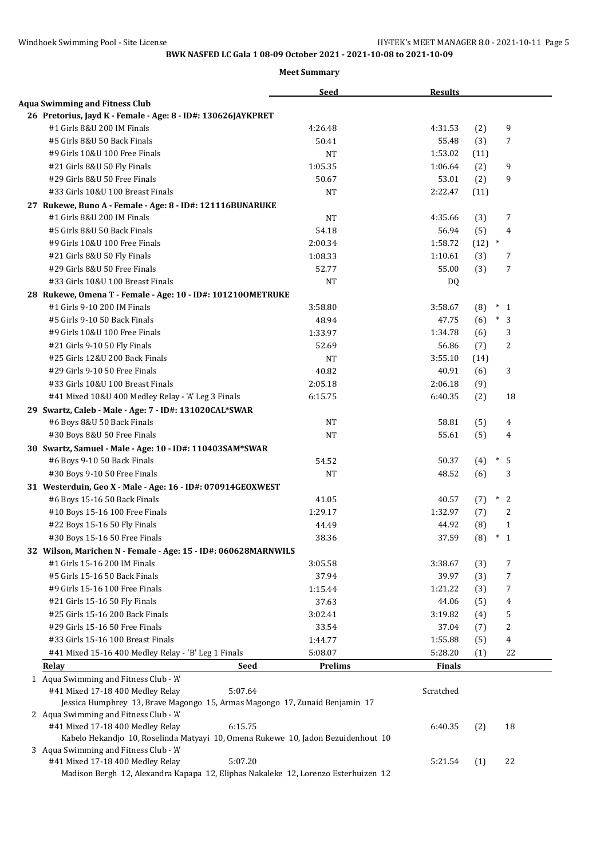| <b>Aqua Swimming and Fitness Club</b><br>26 Pretorius, Jayd K - Female - Age: 8 - ID#: 130626JAYKPRET<br>#1 Girls 8&U 200 IM Finals<br>9<br>4:26.48<br>4:31.53<br>(2)<br>#5 Girls 8&U 50 Back Finals<br>55.48<br>50.41<br>(3)<br>7<br>#9 Girls 10&U 100 Free Finals<br><b>NT</b><br>1:53.02<br>(11)<br>9<br>#21 Girls 8&U 50 Fly Finals<br>1:05.35<br>1:06.64<br>(2)<br>#29 Girls 8&U 50 Free Finals<br>53.01<br>9<br>50.67<br>(2)<br>#33 Girls 10&U 100 Breast Finals<br>NT<br>2:22.47<br>(11)<br>27 Rukewe, Buno A - Female - Age: 8 - ID#: 121116BUNARUKE<br>7<br>#1 Girls 8&U 200 IM Finals<br><b>NT</b><br>4:35.66<br>(3)<br>56.94<br>(5)<br>4<br>#5 Girls 8&U 50 Back Finals<br>54.18<br>#9 Girls 10&U 100 Free Finals<br>2:00.34<br>1:58.72<br>$(12)$ *<br>#21 Girls 8&U 50 Fly Finals<br>1:08.33<br>1:10.61<br>(3)<br>7<br>#29 Girls 8&U 50 Free Finals<br>55.00<br>(3)<br>7<br>52.77<br>#33 Girls 10&U 100 Breast Finals<br><b>NT</b><br>DQ<br>28 Rukewe, Omena T - Female - Age: 10 - ID#: 1012100METRUKE<br>#1 Girls 9-10 200 IM Finals<br>3:58.67<br>3:58.80<br>(8)<br>$*_{1}$<br>#5 Girls 9-10 50 Back Finals<br>$\overline{3}$<br>48.94<br>47.75<br>(6)<br>$\ast$<br>#9 Girls 10&U 100 Free Finals<br>1:33.97<br>3<br>1:34.78<br>(6)<br>56.86<br>2<br>#21 Girls 9-10 50 Fly Finals<br>52.69<br>(7)<br>#25 Girls 12&U 200 Back Finals<br><b>NT</b><br>3:55.10<br>(14)<br>#29 Girls 9-10 50 Free Finals<br>40.82<br>40.91<br>3<br>(6)<br>#33 Girls 10&U 100 Breast Finals<br>2:05.18<br>2:06.18<br>(9)<br>6:40.35<br>(2)<br>18<br>#41 Mixed 10&U 400 Medley Relay - 'A' Leg 3 Finals<br>6:15.75<br>29 Swartz, Caleb - Male - Age: 7 - ID#: 131020CAL*SWAR<br><b>NT</b><br>#6 Boys 8&U 50 Back Finals<br>58.81<br>(5)<br>4<br>55.61<br>(5)<br>#30 Boys 8&U 50 Free Finals<br><b>NT</b><br>4<br>30 Swartz, Samuel - Male - Age: 10 - ID#: 110403SAM*SWAR<br>#6 Boys 9-10 50 Back Finals<br>50.37<br>$\ast$<br>5<br>54.52<br>(4)<br><b>NT</b><br>48.52<br>(6)<br>3<br>#30 Boys 9-10 50 Free Finals<br>31 Westerduin, Geo X - Male - Age: 16 - ID#: 070914GEOXWEST<br>$\ast$<br>2<br>#6 Boys 15-16 50 Back Finals<br>41.05<br>40.57<br>(7)<br>2<br>#10 Boys 15-16 100 Free Finals<br>1:29.17<br>1:32.97<br>(7)<br>#22 Boys 15-16 50 Fly Finals<br>44.49<br>44.92<br>(8)<br>$\mathbf{1}$<br>37.59<br>$^\ast$<br>$\mathbf{1}$<br>#30 Boys 15-16 50 Free Finals<br>38.36<br>(8)<br>32 Wilson, Marichen N - Female - Age: 15 - ID#: 060628MARNWILS<br>#1 Girls 15-16 200 IM Finals<br>3:38.67<br>7<br>3:05.58<br>(3)<br>37.94<br>39.97<br>(3)<br>7<br>#5 Girls 15-16 50 Back Finals<br>#9 Girls 15-16 100 Free Finals<br>1:15.44<br>1:21.22<br>(3)<br>7<br>37.63<br>#21 Girls 15-16 50 Fly Finals<br>44.06<br>(5)<br>4<br>3:19.82<br>5<br>#25 Girls 15-16 200 Back Finals<br>3:02.41<br>(4)<br>#29 Girls 15-16 50 Free Finals<br>2<br>33.54<br>37.04<br>(7)<br>4<br>#33 Girls 15-16 100 Breast Finals<br>1:44.77<br>1:55.88<br>(5)<br>#41 Mixed 15-16 400 Medley Relay - 'B' Leg 1 Finals<br>22<br>5:08.07<br>5:28.20<br>(1)<br><b>Seed</b><br><b>Prelims</b><br><b>Finals</b><br>Relay<br>1 Aqua Swimming and Fitness Club - 'A'<br>#41 Mixed 17-18 400 Medley Relay<br>5:07.64<br>Scratched<br>Jessica Humphrey 13, Brave Magongo 15, Armas Magongo 17, Zunaid Benjamin 17<br>2 Aqua Swimming and Fitness Club - 'A'<br>#41 Mixed 17-18 400 Medley Relay<br>6:15.75<br>6:40.35<br>(2)<br>18<br>Kabelo Hekandjo 10, Roselinda Matyayi 10, Omena Rukewe 10, Jadon Bezuidenhout 10<br>3 Aqua Swimming and Fitness Club - 'A'<br>#41 Mixed 17-18 400 Medley Relay<br>5:07.20<br>22<br>5:21.54<br>(1)<br>Madison Bergh 12, Alexandra Kapapa 12, Eliphas Nakaleke 12, Lorenzo Esterhuizen 12 |  | <b>Seed</b> | <b>Results</b> |  |  |
|----------------------------------------------------------------------------------------------------------------------------------------------------------------------------------------------------------------------------------------------------------------------------------------------------------------------------------------------------------------------------------------------------------------------------------------------------------------------------------------------------------------------------------------------------------------------------------------------------------------------------------------------------------------------------------------------------------------------------------------------------------------------------------------------------------------------------------------------------------------------------------------------------------------------------------------------------------------------------------------------------------------------------------------------------------------------------------------------------------------------------------------------------------------------------------------------------------------------------------------------------------------------------------------------------------------------------------------------------------------------------------------------------------------------------------------------------------------------------------------------------------------------------------------------------------------------------------------------------------------------------------------------------------------------------------------------------------------------------------------------------------------------------------------------------------------------------------------------------------------------------------------------------------------------------------------------------------------------------------------------------------------------------------------------------------------------------------------------------------------------------------------------------------------------------------------------------------------------------------------------------------------------------------------------------------------------------------------------------------------------------------------------------------------------------------------------------------------------------------------------------------------------------------------------------------------------------------------------------------------------------------------------------------------------------------------------------------------------------------------------------------------------------------------------------------------------------------------------------------------------------------------------------------------------------------------------------------------------------------------------------------------------------------------------------------------------------------------------------------------------------------------------------------------------------------------------------------------------------------------------------------------------------------------------------------------------------------------------------------------------------------------------------------------------------------------------------------------------------------------------------------------------------------------------------------------------------------------------------------------------------------------------------------------------------------------------|--|-------------|----------------|--|--|
|                                                                                                                                                                                                                                                                                                                                                                                                                                                                                                                                                                                                                                                                                                                                                                                                                                                                                                                                                                                                                                                                                                                                                                                                                                                                                                                                                                                                                                                                                                                                                                                                                                                                                                                                                                                                                                                                                                                                                                                                                                                                                                                                                                                                                                                                                                                                                                                                                                                                                                                                                                                                                                                                                                                                                                                                                                                                                                                                                                                                                                                                                                                                                                                                                                                                                                                                                                                                                                                                                                                                                                                                                                                                                              |  |             |                |  |  |
|                                                                                                                                                                                                                                                                                                                                                                                                                                                                                                                                                                                                                                                                                                                                                                                                                                                                                                                                                                                                                                                                                                                                                                                                                                                                                                                                                                                                                                                                                                                                                                                                                                                                                                                                                                                                                                                                                                                                                                                                                                                                                                                                                                                                                                                                                                                                                                                                                                                                                                                                                                                                                                                                                                                                                                                                                                                                                                                                                                                                                                                                                                                                                                                                                                                                                                                                                                                                                                                                                                                                                                                                                                                                                              |  |             |                |  |  |
|                                                                                                                                                                                                                                                                                                                                                                                                                                                                                                                                                                                                                                                                                                                                                                                                                                                                                                                                                                                                                                                                                                                                                                                                                                                                                                                                                                                                                                                                                                                                                                                                                                                                                                                                                                                                                                                                                                                                                                                                                                                                                                                                                                                                                                                                                                                                                                                                                                                                                                                                                                                                                                                                                                                                                                                                                                                                                                                                                                                                                                                                                                                                                                                                                                                                                                                                                                                                                                                                                                                                                                                                                                                                                              |  |             |                |  |  |
|                                                                                                                                                                                                                                                                                                                                                                                                                                                                                                                                                                                                                                                                                                                                                                                                                                                                                                                                                                                                                                                                                                                                                                                                                                                                                                                                                                                                                                                                                                                                                                                                                                                                                                                                                                                                                                                                                                                                                                                                                                                                                                                                                                                                                                                                                                                                                                                                                                                                                                                                                                                                                                                                                                                                                                                                                                                                                                                                                                                                                                                                                                                                                                                                                                                                                                                                                                                                                                                                                                                                                                                                                                                                                              |  |             |                |  |  |
|                                                                                                                                                                                                                                                                                                                                                                                                                                                                                                                                                                                                                                                                                                                                                                                                                                                                                                                                                                                                                                                                                                                                                                                                                                                                                                                                                                                                                                                                                                                                                                                                                                                                                                                                                                                                                                                                                                                                                                                                                                                                                                                                                                                                                                                                                                                                                                                                                                                                                                                                                                                                                                                                                                                                                                                                                                                                                                                                                                                                                                                                                                                                                                                                                                                                                                                                                                                                                                                                                                                                                                                                                                                                                              |  |             |                |  |  |
|                                                                                                                                                                                                                                                                                                                                                                                                                                                                                                                                                                                                                                                                                                                                                                                                                                                                                                                                                                                                                                                                                                                                                                                                                                                                                                                                                                                                                                                                                                                                                                                                                                                                                                                                                                                                                                                                                                                                                                                                                                                                                                                                                                                                                                                                                                                                                                                                                                                                                                                                                                                                                                                                                                                                                                                                                                                                                                                                                                                                                                                                                                                                                                                                                                                                                                                                                                                                                                                                                                                                                                                                                                                                                              |  |             |                |  |  |
|                                                                                                                                                                                                                                                                                                                                                                                                                                                                                                                                                                                                                                                                                                                                                                                                                                                                                                                                                                                                                                                                                                                                                                                                                                                                                                                                                                                                                                                                                                                                                                                                                                                                                                                                                                                                                                                                                                                                                                                                                                                                                                                                                                                                                                                                                                                                                                                                                                                                                                                                                                                                                                                                                                                                                                                                                                                                                                                                                                                                                                                                                                                                                                                                                                                                                                                                                                                                                                                                                                                                                                                                                                                                                              |  |             |                |  |  |
|                                                                                                                                                                                                                                                                                                                                                                                                                                                                                                                                                                                                                                                                                                                                                                                                                                                                                                                                                                                                                                                                                                                                                                                                                                                                                                                                                                                                                                                                                                                                                                                                                                                                                                                                                                                                                                                                                                                                                                                                                                                                                                                                                                                                                                                                                                                                                                                                                                                                                                                                                                                                                                                                                                                                                                                                                                                                                                                                                                                                                                                                                                                                                                                                                                                                                                                                                                                                                                                                                                                                                                                                                                                                                              |  |             |                |  |  |
|                                                                                                                                                                                                                                                                                                                                                                                                                                                                                                                                                                                                                                                                                                                                                                                                                                                                                                                                                                                                                                                                                                                                                                                                                                                                                                                                                                                                                                                                                                                                                                                                                                                                                                                                                                                                                                                                                                                                                                                                                                                                                                                                                                                                                                                                                                                                                                                                                                                                                                                                                                                                                                                                                                                                                                                                                                                                                                                                                                                                                                                                                                                                                                                                                                                                                                                                                                                                                                                                                                                                                                                                                                                                                              |  |             |                |  |  |
|                                                                                                                                                                                                                                                                                                                                                                                                                                                                                                                                                                                                                                                                                                                                                                                                                                                                                                                                                                                                                                                                                                                                                                                                                                                                                                                                                                                                                                                                                                                                                                                                                                                                                                                                                                                                                                                                                                                                                                                                                                                                                                                                                                                                                                                                                                                                                                                                                                                                                                                                                                                                                                                                                                                                                                                                                                                                                                                                                                                                                                                                                                                                                                                                                                                                                                                                                                                                                                                                                                                                                                                                                                                                                              |  |             |                |  |  |
|                                                                                                                                                                                                                                                                                                                                                                                                                                                                                                                                                                                                                                                                                                                                                                                                                                                                                                                                                                                                                                                                                                                                                                                                                                                                                                                                                                                                                                                                                                                                                                                                                                                                                                                                                                                                                                                                                                                                                                                                                                                                                                                                                                                                                                                                                                                                                                                                                                                                                                                                                                                                                                                                                                                                                                                                                                                                                                                                                                                                                                                                                                                                                                                                                                                                                                                                                                                                                                                                                                                                                                                                                                                                                              |  |             |                |  |  |
|                                                                                                                                                                                                                                                                                                                                                                                                                                                                                                                                                                                                                                                                                                                                                                                                                                                                                                                                                                                                                                                                                                                                                                                                                                                                                                                                                                                                                                                                                                                                                                                                                                                                                                                                                                                                                                                                                                                                                                                                                                                                                                                                                                                                                                                                                                                                                                                                                                                                                                                                                                                                                                                                                                                                                                                                                                                                                                                                                                                                                                                                                                                                                                                                                                                                                                                                                                                                                                                                                                                                                                                                                                                                                              |  |             |                |  |  |
|                                                                                                                                                                                                                                                                                                                                                                                                                                                                                                                                                                                                                                                                                                                                                                                                                                                                                                                                                                                                                                                                                                                                                                                                                                                                                                                                                                                                                                                                                                                                                                                                                                                                                                                                                                                                                                                                                                                                                                                                                                                                                                                                                                                                                                                                                                                                                                                                                                                                                                                                                                                                                                                                                                                                                                                                                                                                                                                                                                                                                                                                                                                                                                                                                                                                                                                                                                                                                                                                                                                                                                                                                                                                                              |  |             |                |  |  |
|                                                                                                                                                                                                                                                                                                                                                                                                                                                                                                                                                                                                                                                                                                                                                                                                                                                                                                                                                                                                                                                                                                                                                                                                                                                                                                                                                                                                                                                                                                                                                                                                                                                                                                                                                                                                                                                                                                                                                                                                                                                                                                                                                                                                                                                                                                                                                                                                                                                                                                                                                                                                                                                                                                                                                                                                                                                                                                                                                                                                                                                                                                                                                                                                                                                                                                                                                                                                                                                                                                                                                                                                                                                                                              |  |             |                |  |  |
|                                                                                                                                                                                                                                                                                                                                                                                                                                                                                                                                                                                                                                                                                                                                                                                                                                                                                                                                                                                                                                                                                                                                                                                                                                                                                                                                                                                                                                                                                                                                                                                                                                                                                                                                                                                                                                                                                                                                                                                                                                                                                                                                                                                                                                                                                                                                                                                                                                                                                                                                                                                                                                                                                                                                                                                                                                                                                                                                                                                                                                                                                                                                                                                                                                                                                                                                                                                                                                                                                                                                                                                                                                                                                              |  |             |                |  |  |
|                                                                                                                                                                                                                                                                                                                                                                                                                                                                                                                                                                                                                                                                                                                                                                                                                                                                                                                                                                                                                                                                                                                                                                                                                                                                                                                                                                                                                                                                                                                                                                                                                                                                                                                                                                                                                                                                                                                                                                                                                                                                                                                                                                                                                                                                                                                                                                                                                                                                                                                                                                                                                                                                                                                                                                                                                                                                                                                                                                                                                                                                                                                                                                                                                                                                                                                                                                                                                                                                                                                                                                                                                                                                                              |  |             |                |  |  |
|                                                                                                                                                                                                                                                                                                                                                                                                                                                                                                                                                                                                                                                                                                                                                                                                                                                                                                                                                                                                                                                                                                                                                                                                                                                                                                                                                                                                                                                                                                                                                                                                                                                                                                                                                                                                                                                                                                                                                                                                                                                                                                                                                                                                                                                                                                                                                                                                                                                                                                                                                                                                                                                                                                                                                                                                                                                                                                                                                                                                                                                                                                                                                                                                                                                                                                                                                                                                                                                                                                                                                                                                                                                                                              |  |             |                |  |  |
|                                                                                                                                                                                                                                                                                                                                                                                                                                                                                                                                                                                                                                                                                                                                                                                                                                                                                                                                                                                                                                                                                                                                                                                                                                                                                                                                                                                                                                                                                                                                                                                                                                                                                                                                                                                                                                                                                                                                                                                                                                                                                                                                                                                                                                                                                                                                                                                                                                                                                                                                                                                                                                                                                                                                                                                                                                                                                                                                                                                                                                                                                                                                                                                                                                                                                                                                                                                                                                                                                                                                                                                                                                                                                              |  |             |                |  |  |
|                                                                                                                                                                                                                                                                                                                                                                                                                                                                                                                                                                                                                                                                                                                                                                                                                                                                                                                                                                                                                                                                                                                                                                                                                                                                                                                                                                                                                                                                                                                                                                                                                                                                                                                                                                                                                                                                                                                                                                                                                                                                                                                                                                                                                                                                                                                                                                                                                                                                                                                                                                                                                                                                                                                                                                                                                                                                                                                                                                                                                                                                                                                                                                                                                                                                                                                                                                                                                                                                                                                                                                                                                                                                                              |  |             |                |  |  |
|                                                                                                                                                                                                                                                                                                                                                                                                                                                                                                                                                                                                                                                                                                                                                                                                                                                                                                                                                                                                                                                                                                                                                                                                                                                                                                                                                                                                                                                                                                                                                                                                                                                                                                                                                                                                                                                                                                                                                                                                                                                                                                                                                                                                                                                                                                                                                                                                                                                                                                                                                                                                                                                                                                                                                                                                                                                                                                                                                                                                                                                                                                                                                                                                                                                                                                                                                                                                                                                                                                                                                                                                                                                                                              |  |             |                |  |  |
|                                                                                                                                                                                                                                                                                                                                                                                                                                                                                                                                                                                                                                                                                                                                                                                                                                                                                                                                                                                                                                                                                                                                                                                                                                                                                                                                                                                                                                                                                                                                                                                                                                                                                                                                                                                                                                                                                                                                                                                                                                                                                                                                                                                                                                                                                                                                                                                                                                                                                                                                                                                                                                                                                                                                                                                                                                                                                                                                                                                                                                                                                                                                                                                                                                                                                                                                                                                                                                                                                                                                                                                                                                                                                              |  |             |                |  |  |
|                                                                                                                                                                                                                                                                                                                                                                                                                                                                                                                                                                                                                                                                                                                                                                                                                                                                                                                                                                                                                                                                                                                                                                                                                                                                                                                                                                                                                                                                                                                                                                                                                                                                                                                                                                                                                                                                                                                                                                                                                                                                                                                                                                                                                                                                                                                                                                                                                                                                                                                                                                                                                                                                                                                                                                                                                                                                                                                                                                                                                                                                                                                                                                                                                                                                                                                                                                                                                                                                                                                                                                                                                                                                                              |  |             |                |  |  |
|                                                                                                                                                                                                                                                                                                                                                                                                                                                                                                                                                                                                                                                                                                                                                                                                                                                                                                                                                                                                                                                                                                                                                                                                                                                                                                                                                                                                                                                                                                                                                                                                                                                                                                                                                                                                                                                                                                                                                                                                                                                                                                                                                                                                                                                                                                                                                                                                                                                                                                                                                                                                                                                                                                                                                                                                                                                                                                                                                                                                                                                                                                                                                                                                                                                                                                                                                                                                                                                                                                                                                                                                                                                                                              |  |             |                |  |  |
|                                                                                                                                                                                                                                                                                                                                                                                                                                                                                                                                                                                                                                                                                                                                                                                                                                                                                                                                                                                                                                                                                                                                                                                                                                                                                                                                                                                                                                                                                                                                                                                                                                                                                                                                                                                                                                                                                                                                                                                                                                                                                                                                                                                                                                                                                                                                                                                                                                                                                                                                                                                                                                                                                                                                                                                                                                                                                                                                                                                                                                                                                                                                                                                                                                                                                                                                                                                                                                                                                                                                                                                                                                                                                              |  |             |                |  |  |
|                                                                                                                                                                                                                                                                                                                                                                                                                                                                                                                                                                                                                                                                                                                                                                                                                                                                                                                                                                                                                                                                                                                                                                                                                                                                                                                                                                                                                                                                                                                                                                                                                                                                                                                                                                                                                                                                                                                                                                                                                                                                                                                                                                                                                                                                                                                                                                                                                                                                                                                                                                                                                                                                                                                                                                                                                                                                                                                                                                                                                                                                                                                                                                                                                                                                                                                                                                                                                                                                                                                                                                                                                                                                                              |  |             |                |  |  |
|                                                                                                                                                                                                                                                                                                                                                                                                                                                                                                                                                                                                                                                                                                                                                                                                                                                                                                                                                                                                                                                                                                                                                                                                                                                                                                                                                                                                                                                                                                                                                                                                                                                                                                                                                                                                                                                                                                                                                                                                                                                                                                                                                                                                                                                                                                                                                                                                                                                                                                                                                                                                                                                                                                                                                                                                                                                                                                                                                                                                                                                                                                                                                                                                                                                                                                                                                                                                                                                                                                                                                                                                                                                                                              |  |             |                |  |  |
|                                                                                                                                                                                                                                                                                                                                                                                                                                                                                                                                                                                                                                                                                                                                                                                                                                                                                                                                                                                                                                                                                                                                                                                                                                                                                                                                                                                                                                                                                                                                                                                                                                                                                                                                                                                                                                                                                                                                                                                                                                                                                                                                                                                                                                                                                                                                                                                                                                                                                                                                                                                                                                                                                                                                                                                                                                                                                                                                                                                                                                                                                                                                                                                                                                                                                                                                                                                                                                                                                                                                                                                                                                                                                              |  |             |                |  |  |
|                                                                                                                                                                                                                                                                                                                                                                                                                                                                                                                                                                                                                                                                                                                                                                                                                                                                                                                                                                                                                                                                                                                                                                                                                                                                                                                                                                                                                                                                                                                                                                                                                                                                                                                                                                                                                                                                                                                                                                                                                                                                                                                                                                                                                                                                                                                                                                                                                                                                                                                                                                                                                                                                                                                                                                                                                                                                                                                                                                                                                                                                                                                                                                                                                                                                                                                                                                                                                                                                                                                                                                                                                                                                                              |  |             |                |  |  |
|                                                                                                                                                                                                                                                                                                                                                                                                                                                                                                                                                                                                                                                                                                                                                                                                                                                                                                                                                                                                                                                                                                                                                                                                                                                                                                                                                                                                                                                                                                                                                                                                                                                                                                                                                                                                                                                                                                                                                                                                                                                                                                                                                                                                                                                                                                                                                                                                                                                                                                                                                                                                                                                                                                                                                                                                                                                                                                                                                                                                                                                                                                                                                                                                                                                                                                                                                                                                                                                                                                                                                                                                                                                                                              |  |             |                |  |  |
|                                                                                                                                                                                                                                                                                                                                                                                                                                                                                                                                                                                                                                                                                                                                                                                                                                                                                                                                                                                                                                                                                                                                                                                                                                                                                                                                                                                                                                                                                                                                                                                                                                                                                                                                                                                                                                                                                                                                                                                                                                                                                                                                                                                                                                                                                                                                                                                                                                                                                                                                                                                                                                                                                                                                                                                                                                                                                                                                                                                                                                                                                                                                                                                                                                                                                                                                                                                                                                                                                                                                                                                                                                                                                              |  |             |                |  |  |
|                                                                                                                                                                                                                                                                                                                                                                                                                                                                                                                                                                                                                                                                                                                                                                                                                                                                                                                                                                                                                                                                                                                                                                                                                                                                                                                                                                                                                                                                                                                                                                                                                                                                                                                                                                                                                                                                                                                                                                                                                                                                                                                                                                                                                                                                                                                                                                                                                                                                                                                                                                                                                                                                                                                                                                                                                                                                                                                                                                                                                                                                                                                                                                                                                                                                                                                                                                                                                                                                                                                                                                                                                                                                                              |  |             |                |  |  |
|                                                                                                                                                                                                                                                                                                                                                                                                                                                                                                                                                                                                                                                                                                                                                                                                                                                                                                                                                                                                                                                                                                                                                                                                                                                                                                                                                                                                                                                                                                                                                                                                                                                                                                                                                                                                                                                                                                                                                                                                                                                                                                                                                                                                                                                                                                                                                                                                                                                                                                                                                                                                                                                                                                                                                                                                                                                                                                                                                                                                                                                                                                                                                                                                                                                                                                                                                                                                                                                                                                                                                                                                                                                                                              |  |             |                |  |  |
|                                                                                                                                                                                                                                                                                                                                                                                                                                                                                                                                                                                                                                                                                                                                                                                                                                                                                                                                                                                                                                                                                                                                                                                                                                                                                                                                                                                                                                                                                                                                                                                                                                                                                                                                                                                                                                                                                                                                                                                                                                                                                                                                                                                                                                                                                                                                                                                                                                                                                                                                                                                                                                                                                                                                                                                                                                                                                                                                                                                                                                                                                                                                                                                                                                                                                                                                                                                                                                                                                                                                                                                                                                                                                              |  |             |                |  |  |
|                                                                                                                                                                                                                                                                                                                                                                                                                                                                                                                                                                                                                                                                                                                                                                                                                                                                                                                                                                                                                                                                                                                                                                                                                                                                                                                                                                                                                                                                                                                                                                                                                                                                                                                                                                                                                                                                                                                                                                                                                                                                                                                                                                                                                                                                                                                                                                                                                                                                                                                                                                                                                                                                                                                                                                                                                                                                                                                                                                                                                                                                                                                                                                                                                                                                                                                                                                                                                                                                                                                                                                                                                                                                                              |  |             |                |  |  |
|                                                                                                                                                                                                                                                                                                                                                                                                                                                                                                                                                                                                                                                                                                                                                                                                                                                                                                                                                                                                                                                                                                                                                                                                                                                                                                                                                                                                                                                                                                                                                                                                                                                                                                                                                                                                                                                                                                                                                                                                                                                                                                                                                                                                                                                                                                                                                                                                                                                                                                                                                                                                                                                                                                                                                                                                                                                                                                                                                                                                                                                                                                                                                                                                                                                                                                                                                                                                                                                                                                                                                                                                                                                                                              |  |             |                |  |  |
|                                                                                                                                                                                                                                                                                                                                                                                                                                                                                                                                                                                                                                                                                                                                                                                                                                                                                                                                                                                                                                                                                                                                                                                                                                                                                                                                                                                                                                                                                                                                                                                                                                                                                                                                                                                                                                                                                                                                                                                                                                                                                                                                                                                                                                                                                                                                                                                                                                                                                                                                                                                                                                                                                                                                                                                                                                                                                                                                                                                                                                                                                                                                                                                                                                                                                                                                                                                                                                                                                                                                                                                                                                                                                              |  |             |                |  |  |
|                                                                                                                                                                                                                                                                                                                                                                                                                                                                                                                                                                                                                                                                                                                                                                                                                                                                                                                                                                                                                                                                                                                                                                                                                                                                                                                                                                                                                                                                                                                                                                                                                                                                                                                                                                                                                                                                                                                                                                                                                                                                                                                                                                                                                                                                                                                                                                                                                                                                                                                                                                                                                                                                                                                                                                                                                                                                                                                                                                                                                                                                                                                                                                                                                                                                                                                                                                                                                                                                                                                                                                                                                                                                                              |  |             |                |  |  |
|                                                                                                                                                                                                                                                                                                                                                                                                                                                                                                                                                                                                                                                                                                                                                                                                                                                                                                                                                                                                                                                                                                                                                                                                                                                                                                                                                                                                                                                                                                                                                                                                                                                                                                                                                                                                                                                                                                                                                                                                                                                                                                                                                                                                                                                                                                                                                                                                                                                                                                                                                                                                                                                                                                                                                                                                                                                                                                                                                                                                                                                                                                                                                                                                                                                                                                                                                                                                                                                                                                                                                                                                                                                                                              |  |             |                |  |  |
|                                                                                                                                                                                                                                                                                                                                                                                                                                                                                                                                                                                                                                                                                                                                                                                                                                                                                                                                                                                                                                                                                                                                                                                                                                                                                                                                                                                                                                                                                                                                                                                                                                                                                                                                                                                                                                                                                                                                                                                                                                                                                                                                                                                                                                                                                                                                                                                                                                                                                                                                                                                                                                                                                                                                                                                                                                                                                                                                                                                                                                                                                                                                                                                                                                                                                                                                                                                                                                                                                                                                                                                                                                                                                              |  |             |                |  |  |
|                                                                                                                                                                                                                                                                                                                                                                                                                                                                                                                                                                                                                                                                                                                                                                                                                                                                                                                                                                                                                                                                                                                                                                                                                                                                                                                                                                                                                                                                                                                                                                                                                                                                                                                                                                                                                                                                                                                                                                                                                                                                                                                                                                                                                                                                                                                                                                                                                                                                                                                                                                                                                                                                                                                                                                                                                                                                                                                                                                                                                                                                                                                                                                                                                                                                                                                                                                                                                                                                                                                                                                                                                                                                                              |  |             |                |  |  |
|                                                                                                                                                                                                                                                                                                                                                                                                                                                                                                                                                                                                                                                                                                                                                                                                                                                                                                                                                                                                                                                                                                                                                                                                                                                                                                                                                                                                                                                                                                                                                                                                                                                                                                                                                                                                                                                                                                                                                                                                                                                                                                                                                                                                                                                                                                                                                                                                                                                                                                                                                                                                                                                                                                                                                                                                                                                                                                                                                                                                                                                                                                                                                                                                                                                                                                                                                                                                                                                                                                                                                                                                                                                                                              |  |             |                |  |  |
|                                                                                                                                                                                                                                                                                                                                                                                                                                                                                                                                                                                                                                                                                                                                                                                                                                                                                                                                                                                                                                                                                                                                                                                                                                                                                                                                                                                                                                                                                                                                                                                                                                                                                                                                                                                                                                                                                                                                                                                                                                                                                                                                                                                                                                                                                                                                                                                                                                                                                                                                                                                                                                                                                                                                                                                                                                                                                                                                                                                                                                                                                                                                                                                                                                                                                                                                                                                                                                                                                                                                                                                                                                                                                              |  |             |                |  |  |
|                                                                                                                                                                                                                                                                                                                                                                                                                                                                                                                                                                                                                                                                                                                                                                                                                                                                                                                                                                                                                                                                                                                                                                                                                                                                                                                                                                                                                                                                                                                                                                                                                                                                                                                                                                                                                                                                                                                                                                                                                                                                                                                                                                                                                                                                                                                                                                                                                                                                                                                                                                                                                                                                                                                                                                                                                                                                                                                                                                                                                                                                                                                                                                                                                                                                                                                                                                                                                                                                                                                                                                                                                                                                                              |  |             |                |  |  |
|                                                                                                                                                                                                                                                                                                                                                                                                                                                                                                                                                                                                                                                                                                                                                                                                                                                                                                                                                                                                                                                                                                                                                                                                                                                                                                                                                                                                                                                                                                                                                                                                                                                                                                                                                                                                                                                                                                                                                                                                                                                                                                                                                                                                                                                                                                                                                                                                                                                                                                                                                                                                                                                                                                                                                                                                                                                                                                                                                                                                                                                                                                                                                                                                                                                                                                                                                                                                                                                                                                                                                                                                                                                                                              |  |             |                |  |  |
|                                                                                                                                                                                                                                                                                                                                                                                                                                                                                                                                                                                                                                                                                                                                                                                                                                                                                                                                                                                                                                                                                                                                                                                                                                                                                                                                                                                                                                                                                                                                                                                                                                                                                                                                                                                                                                                                                                                                                                                                                                                                                                                                                                                                                                                                                                                                                                                                                                                                                                                                                                                                                                                                                                                                                                                                                                                                                                                                                                                                                                                                                                                                                                                                                                                                                                                                                                                                                                                                                                                                                                                                                                                                                              |  |             |                |  |  |
|                                                                                                                                                                                                                                                                                                                                                                                                                                                                                                                                                                                                                                                                                                                                                                                                                                                                                                                                                                                                                                                                                                                                                                                                                                                                                                                                                                                                                                                                                                                                                                                                                                                                                                                                                                                                                                                                                                                                                                                                                                                                                                                                                                                                                                                                                                                                                                                                                                                                                                                                                                                                                                                                                                                                                                                                                                                                                                                                                                                                                                                                                                                                                                                                                                                                                                                                                                                                                                                                                                                                                                                                                                                                                              |  |             |                |  |  |
|                                                                                                                                                                                                                                                                                                                                                                                                                                                                                                                                                                                                                                                                                                                                                                                                                                                                                                                                                                                                                                                                                                                                                                                                                                                                                                                                                                                                                                                                                                                                                                                                                                                                                                                                                                                                                                                                                                                                                                                                                                                                                                                                                                                                                                                                                                                                                                                                                                                                                                                                                                                                                                                                                                                                                                                                                                                                                                                                                                                                                                                                                                                                                                                                                                                                                                                                                                                                                                                                                                                                                                                                                                                                                              |  |             |                |  |  |
|                                                                                                                                                                                                                                                                                                                                                                                                                                                                                                                                                                                                                                                                                                                                                                                                                                                                                                                                                                                                                                                                                                                                                                                                                                                                                                                                                                                                                                                                                                                                                                                                                                                                                                                                                                                                                                                                                                                                                                                                                                                                                                                                                                                                                                                                                                                                                                                                                                                                                                                                                                                                                                                                                                                                                                                                                                                                                                                                                                                                                                                                                                                                                                                                                                                                                                                                                                                                                                                                                                                                                                                                                                                                                              |  |             |                |  |  |
|                                                                                                                                                                                                                                                                                                                                                                                                                                                                                                                                                                                                                                                                                                                                                                                                                                                                                                                                                                                                                                                                                                                                                                                                                                                                                                                                                                                                                                                                                                                                                                                                                                                                                                                                                                                                                                                                                                                                                                                                                                                                                                                                                                                                                                                                                                                                                                                                                                                                                                                                                                                                                                                                                                                                                                                                                                                                                                                                                                                                                                                                                                                                                                                                                                                                                                                                                                                                                                                                                                                                                                                                                                                                                              |  |             |                |  |  |
|                                                                                                                                                                                                                                                                                                                                                                                                                                                                                                                                                                                                                                                                                                                                                                                                                                                                                                                                                                                                                                                                                                                                                                                                                                                                                                                                                                                                                                                                                                                                                                                                                                                                                                                                                                                                                                                                                                                                                                                                                                                                                                                                                                                                                                                                                                                                                                                                                                                                                                                                                                                                                                                                                                                                                                                                                                                                                                                                                                                                                                                                                                                                                                                                                                                                                                                                                                                                                                                                                                                                                                                                                                                                                              |  |             |                |  |  |
|                                                                                                                                                                                                                                                                                                                                                                                                                                                                                                                                                                                                                                                                                                                                                                                                                                                                                                                                                                                                                                                                                                                                                                                                                                                                                                                                                                                                                                                                                                                                                                                                                                                                                                                                                                                                                                                                                                                                                                                                                                                                                                                                                                                                                                                                                                                                                                                                                                                                                                                                                                                                                                                                                                                                                                                                                                                                                                                                                                                                                                                                                                                                                                                                                                                                                                                                                                                                                                                                                                                                                                                                                                                                                              |  |             |                |  |  |
|                                                                                                                                                                                                                                                                                                                                                                                                                                                                                                                                                                                                                                                                                                                                                                                                                                                                                                                                                                                                                                                                                                                                                                                                                                                                                                                                                                                                                                                                                                                                                                                                                                                                                                                                                                                                                                                                                                                                                                                                                                                                                                                                                                                                                                                                                                                                                                                                                                                                                                                                                                                                                                                                                                                                                                                                                                                                                                                                                                                                                                                                                                                                                                                                                                                                                                                                                                                                                                                                                                                                                                                                                                                                                              |  |             |                |  |  |
|                                                                                                                                                                                                                                                                                                                                                                                                                                                                                                                                                                                                                                                                                                                                                                                                                                                                                                                                                                                                                                                                                                                                                                                                                                                                                                                                                                                                                                                                                                                                                                                                                                                                                                                                                                                                                                                                                                                                                                                                                                                                                                                                                                                                                                                                                                                                                                                                                                                                                                                                                                                                                                                                                                                                                                                                                                                                                                                                                                                                                                                                                                                                                                                                                                                                                                                                                                                                                                                                                                                                                                                                                                                                                              |  |             |                |  |  |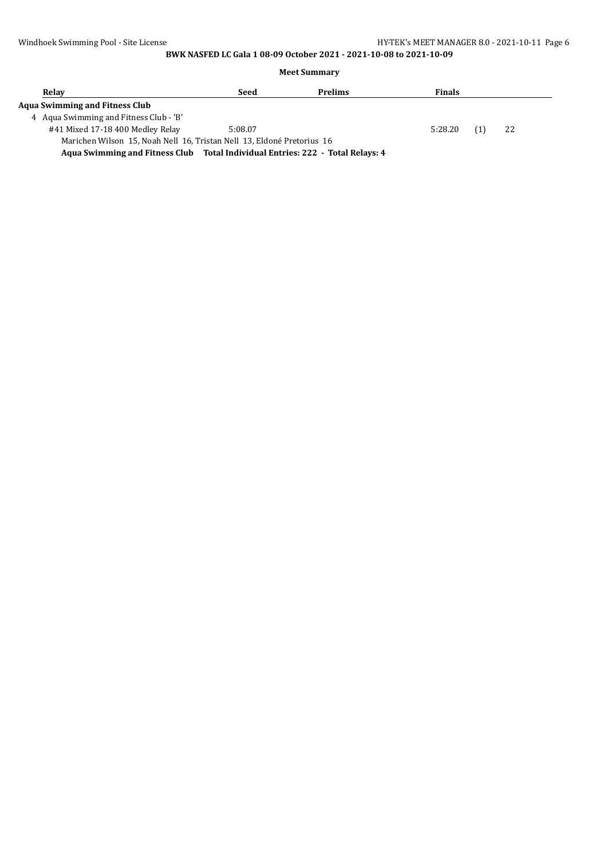#### **Meet Summary**

| Relay                                                                         | Seed    | <b>Prelims</b> | <b>Finals</b> |     |    |  |
|-------------------------------------------------------------------------------|---------|----------------|---------------|-----|----|--|
| Aqua Swimming and Fitness Club                                                |         |                |               |     |    |  |
| 4 Agua Swimming and Fitness Club - 'B'                                        |         |                |               |     |    |  |
| #41 Mixed 17-18 400 Medley Relay                                              | 5:08.07 |                | 5:28.20       | (1) | 22 |  |
| Marichen Wilson 15, Noah Nell 16, Tristan Nell 13, Eldoné Pretorius 16        |         |                |               |     |    |  |
| Agua Curimming and Eitness Club Total Individual Entrice: 222 Total Delays: 4 |         |                |               |     |    |  |

**Aqua Swimming and Fitness Club Total Individual Entries: 222 - Total Relays: 4**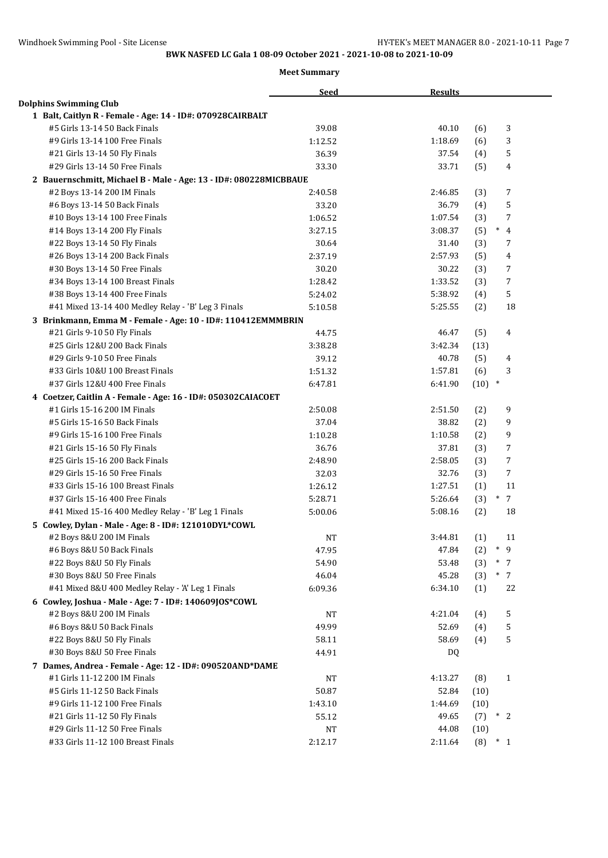|                                                                   | <b>Seed</b> | <b>Results</b> |                                  |
|-------------------------------------------------------------------|-------------|----------------|----------------------------------|
| <b>Dolphins Swimming Club</b>                                     |             |                |                                  |
| 1 Balt, Caitlyn R - Female - Age: 14 - ID#: 070928CAIRBALT        |             |                |                                  |
| #5 Girls 13-14 50 Back Finals                                     | 39.08       | 40.10          | 3<br>(6)                         |
| #9 Girls 13-14 100 Free Finals                                    | 1:12.52     | 1:18.69        | 3<br>(6)                         |
| #21 Girls 13-14 50 Fly Finals                                     | 36.39       | 37.54          | 5<br>(4)                         |
| #29 Girls 13-14 50 Free Finals                                    | 33.30       | 33.71          | (5)<br>4                         |
| 2 Bauernschmitt, Michael B - Male - Age: 13 - ID#: 080228MICBBAUE |             |                |                                  |
| #2 Boys 13-14 200 IM Finals                                       | 2:40.58     | 2:46.85        | (3)<br>7                         |
| #6 Boys 13-14 50 Back Finals                                      | 33.20       | 36.79          | 5<br>(4)                         |
| #10 Boys 13-14 100 Free Finals                                    | 1:06.52     | 1:07.54        | (3)<br>7                         |
| #14 Boys 13-14 200 Fly Finals                                     | 3:27.15     | 3:08.37        | $*$ 4<br>(5)                     |
| #22 Boys 13-14 50 Fly Finals                                      | 30.64       | 31.40          | (3)<br>7                         |
| #26 Boys 13-14 200 Back Finals                                    | 2:37.19     | 2:57.93        | $\overline{4}$<br>(5)            |
| #30 Boys 13-14 50 Free Finals                                     | 30.20       | 30.22          | (3)<br>7                         |
| #34 Boys 13-14 100 Breast Finals                                  | 1:28.42     | 1:33.52        | 7<br>(3)                         |
| #38 Boys 13-14 400 Free Finals                                    | 5:24.02     | 5:38.92        | 5<br>(4)                         |
| #41 Mixed 13-14 400 Medley Relay - 'B' Leg 3 Finals               | 5:10.58     | 5:25.55        | 18<br>(2)                        |
| 3 Brinkmann, Emma M - Female - Age: 10 - ID#: 110412EMMMBRIN      |             |                |                                  |
| #21 Girls 9-10 50 Fly Finals                                      | 44.75       | 46.47          | (5)<br>4                         |
| #25 Girls 12&U 200 Back Finals                                    | 3:38.28     | 3:42.34        | (13)                             |
| #29 Girls 9-10 50 Free Finals                                     | 39.12       | 40.78          | (5)<br>4                         |
| #33 Girls 10&U 100 Breast Finals                                  | 1:51.32     | 1:57.81        | (6)<br>3                         |
| #37 Girls 12&U 400 Free Finals                                    | 6:47.81     | 6:41.90        | $\ast$<br>(10)                   |
| 4 Coetzer, Caitlin A - Female - Age: 16 - ID#: 050302CAIACOET     |             |                |                                  |
| #1 Girls 15-16 200 IM Finals                                      | 2:50.08     | 2:51.50        | 9<br>(2)                         |
| #5 Girls 15-16 50 Back Finals                                     | 37.04       | 38.82          | (2)<br>9                         |
| #9 Girls 15-16 100 Free Finals                                    | 1:10.28     | 1:10.58        | 9<br>(2)                         |
| #21 Girls 15-16 50 Fly Finals                                     | 36.76       | 37.81          | (3)<br>7                         |
| #25 Girls 15-16 200 Back Finals                                   | 2:48.90     | 2:58.05        | 7<br>(3)                         |
| #29 Girls 15-16 50 Free Finals                                    | 32.03       | 32.76          | (3)<br>7                         |
| #33 Girls 15-16 100 Breast Finals                                 | 1:26.12     | 1:27.51        | (1)<br>11                        |
| #37 Girls 15-16 400 Free Finals                                   | 5:28.71     | 5:26.64        | $7\overline{ }$<br>$\ast$<br>(3) |
| #41 Mixed 15-16 400 Medley Relay - 'B' Leg 1 Finals               | 5:00.06     | 5:08.16        | (2)<br>18                        |
| 5 Cowley, Dylan - Male - Age: 8 - ID#: 121010DYL*COWL             |             |                |                                  |
| #2 Boys 8&U 200 IM Finals                                         | NT          | 3:44.81        | (1)<br>11                        |
| #6 Boys 8&U 50 Back Finals                                        | 47.95       | 47.84          | $*$ 9<br>(2)                     |
| #22 Boys 8&U 50 Fly Finals                                        | 54.90       | 53.48          | $*$ 7<br>(3)                     |
| #30 Boys 8&U 50 Free Finals                                       | 46.04       | 45.28          | (3)<br>$*$ 7                     |
| #41 Mixed 8&U 400 Medley Relay - 'A' Leg 1 Finals                 | 6:09.36     | 6:34.10        | (1)<br>22                        |
| 6 Cowley, Joshua - Male - Age: 7 - ID#: 140609JOS*COWL            |             |                |                                  |
| #2 Boys 8&U 200 IM Finals                                         | <b>NT</b>   | 4:21.04        | 5<br>(4)                         |
| #6 Boys 8&U 50 Back Finals                                        | 49.99       | 52.69          | (4)<br>5                         |
| #22 Boys 8&U 50 Fly Finals                                        | 58.11       | 58.69          | 5<br>(4)                         |
| #30 Boys 8&U 50 Free Finals                                       | 44.91       | DQ.            |                                  |
| 7 Dames, Andrea - Female - Age: 12 - ID#: 090520AND*DAME          |             |                |                                  |
| #1 Girls 11-12 200 IM Finals                                      | NT          | 4:13.27        | (8)<br>$\mathbf{1}$              |
| #5 Girls 11-12 50 Back Finals                                     | 50.87       | 52.84          | (10)                             |
| #9 Girls 11-12 100 Free Finals                                    | 1:43.10     | 1:44.69        | (10)                             |
| #21 Girls 11-12 50 Fly Finals                                     | 55.12       | 49.65          | (7)<br>$*2$                      |
| #29 Girls 11-12 50 Free Finals                                    | $_{\rm NT}$ | 44.08          | (10)                             |
| #33 Girls 11-12 100 Breast Finals                                 | 2:12.17     | 2:11.64        | $(8) * 1$                        |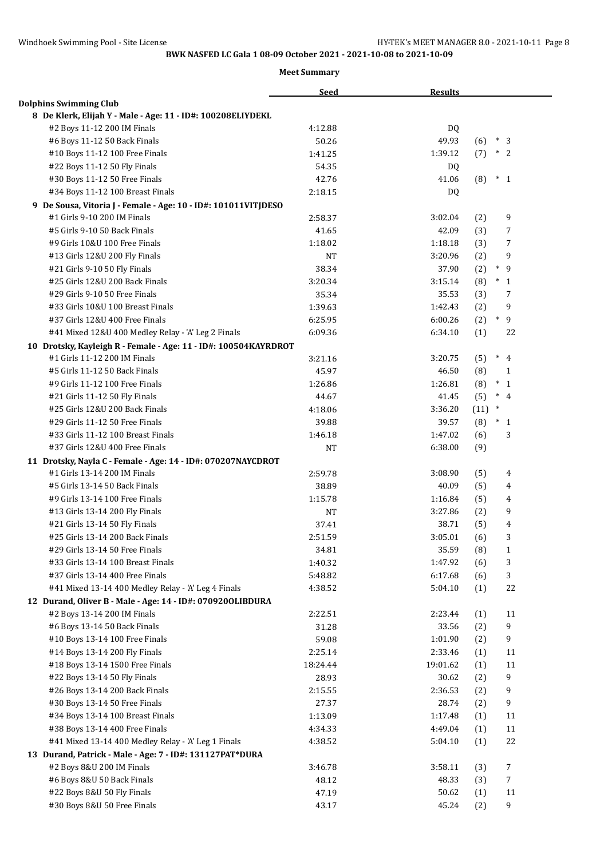|                                                                 | <b>Seed</b> | <b>Results</b> |      |                        |
|-----------------------------------------------------------------|-------------|----------------|------|------------------------|
| <b>Dolphins Swimming Club</b>                                   |             |                |      |                        |
| 8 De Klerk, Elijah Y - Male - Age: 11 - ID#: 100208ELIYDEKL     |             |                |      |                        |
| #2 Boys 11-12 200 IM Finals                                     | 4:12.88     | DQ             |      |                        |
| #6 Boys 11-12 50 Back Finals                                    | 50.26       | 49.93          | (6)  | $*3$                   |
| #10 Boys 11-12 100 Free Finals                                  | 1:41.25     | 1:39.12        | (7)  | $*2$                   |
| #22 Boys 11-12 50 Fly Finals                                    | 54.35       | DQ.            |      |                        |
| #30 Boys 11-12 50 Free Finals                                   | 42.76       | 41.06          | (8)  | $*1$                   |
| #34 Boys 11-12 100 Breast Finals                                | 2:18.15     | DQ             |      |                        |
| 9 De Sousa, Vitoria J - Female - Age: 10 - ID#: 101011VITJDESO  |             |                |      |                        |
| #1 Girls 9-10 200 IM Finals                                     | 2:58.37     | 3:02.04        | (2)  | 9                      |
| #5 Girls 9-10 50 Back Finals                                    | 41.65       | 42.09          | (3)  | 7                      |
| #9 Girls 10&U 100 Free Finals                                   | 1:18.02     | 1:18.18        | (3)  | 7                      |
| #13 Girls 12&U 200 Fly Finals                                   | NT          | 3:20.96        | (2)  | 9                      |
| #21 Girls 9-10 50 Fly Finals                                    | 38.34       | 37.90          | (2)  | $*$ 9                  |
| #25 Girls 12&U 200 Back Finals                                  | 3:20.34     | 3:15.14        | (8)  | $\ast$<br>$\mathbf{1}$ |
| #29 Girls 9-10 50 Free Finals                                   | 35.34       | 35.53          | (3)  | 7                      |
| #33 Girls 10&U 100 Breast Finals                                | 1:39.63     | 1:42.43        | (2)  | 9                      |
| #37 Girls 12&U 400 Free Finals                                  | 6:25.95     | 6:00.26        | (2)  | $\ast$<br>9            |
| #41 Mixed 12&U 400 Medley Relay - 'A' Leg 2 Finals              | 6:09.36     | 6:34.10        | (1)  | 22                     |
| 10 Drotsky, Kayleigh R - Female - Age: 11 - ID#: 100504KAYRDROT |             |                |      |                        |
| #1 Girls 11-12 200 IM Finals                                    | 3:21.16     | 3:20.75        | (5)  | $\ast$<br>4            |
| #5 Girls 11-12 50 Back Finals                                   | 45.97       | 46.50          | (8)  | 1                      |
| #9 Girls 11-12 100 Free Finals                                  | 1:26.86     | 1:26.81        | (8)  | $\ast$<br>$\mathbf{1}$ |
| #21 Girls 11-12 50 Fly Finals                                   | 44.67       | 41.45          | (5)  | $*$ 4                  |
| #25 Girls 12&U 200 Back Finals                                  | 4:18.06     | 3:36.20        | (11) | $\ast$                 |
| #29 Girls 11-12 50 Free Finals                                  | 39.88       | 39.57          | (8)  | $*_{1}$                |
| #33 Girls 11-12 100 Breast Finals                               | 1:46.18     | 1:47.02        | (6)  | 3                      |
| #37 Girls 12&U 400 Free Finals                                  | NT          | 6:38.00        | (9)  |                        |
| 11 Drotsky, Nayla C - Female - Age: 14 - ID#: 070207NAYCDROT    |             |                |      |                        |
| #1 Girls 13-14 200 IM Finals                                    | 2:59.78     | 3:08.90        | (5)  | 4                      |
| #5 Girls 13-14 50 Back Finals                                   | 38.89       | 40.09          | (5)  | 4                      |
| #9 Girls 13-14 100 Free Finals                                  | 1:15.78     | 1:16.84        | (5)  | 4                      |
| #13 Girls 13-14 200 Fly Finals                                  | NT          | 3:27.86        | (2)  | 9                      |
| #21 Girls 13-14 50 Fly Finals                                   | 37.41       | 38.71          | (5)  | 4                      |
| #25 Girls 13-14 200 Back Finals                                 | 2:51.59     | 3:05.01        | (6)  | 3                      |
| #29 Girls 13-14 50 Free Finals                                  | 34.81       | 35.59          | (8)  | $\mathbf{1}$           |
| #33 Girls 13-14 100 Breast Finals                               | 1:40.32     | 1:47.92        | (6)  | 3                      |
| #37 Girls 13-14 400 Free Finals                                 | 5:48.82     | 6:17.68        | (6)  | 3                      |
| #41 Mixed 13-14 400 Medley Relay - 'A' Leg 4 Finals             | 4:38.52     | 5:04.10        | (1)  | 22                     |
| 12 Durand, Oliver B - Male - Age: 14 - ID#: 0709200LIBDURA      |             |                |      |                        |
| #2 Boys 13-14 200 IM Finals                                     | 2:22.51     | 2:23.44        | (1)  | 11                     |
| #6 Boys 13-14 50 Back Finals                                    | 31.28       | 33.56          | (2)  | 9                      |
| #10 Boys 13-14 100 Free Finals                                  | 59.08       | 1:01.90        | (2)  | 9                      |
| #14 Boys 13-14 200 Fly Finals                                   | 2:25.14     | 2:33.46        | (1)  | 11                     |
| #18 Boys 13-14 1500 Free Finals                                 | 18:24.44    | 19:01.62       | (1)  | 11                     |
| #22 Boys 13-14 50 Fly Finals                                    | 28.93       | 30.62          | (2)  | 9                      |
| #26 Boys 13-14 200 Back Finals                                  | 2:15.55     | 2:36.53        | (2)  | 9                      |
| #30 Boys 13-14 50 Free Finals                                   | 27.37       | 28.74          | (2)  | 9                      |
| #34 Boys 13-14 100 Breast Finals                                | 1:13.09     | 1:17.48        | (1)  | 11                     |
| #38 Boys 13-14 400 Free Finals                                  | 4:34.33     | 4:49.04        | (1)  | 11                     |
| #41 Mixed 13-14 400 Medley Relay - 'A' Leg 1 Finals             | 4:38.52     | 5:04.10        | (1)  | 22                     |
| 13 Durand, Patrick - Male - Age: 7 - ID#: 131127PAT*DURA        |             |                |      |                        |
| #2 Boys 8&U 200 IM Finals                                       | 3:46.78     | 3:58.11        | (3)  | $\overline{7}$         |
| #6 Boys 8&U 50 Back Finals                                      | 48.12       | 48.33          | (3)  | 7                      |
| #22 Boys 8&U 50 Fly Finals                                      | 47.19       | 50.62          | (1)  | 11                     |
| #30 Boys 8&U 50 Free Finals                                     | 43.17       | 45.24          | (2)  | 9                      |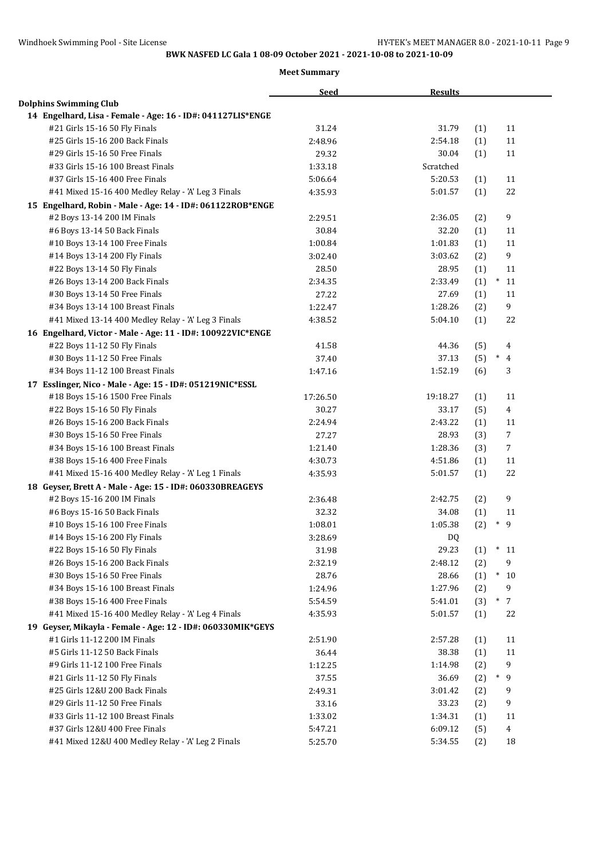|                                                             | <b>Seed</b> | <b>Results</b> |     |                  |
|-------------------------------------------------------------|-------------|----------------|-----|------------------|
| <b>Dolphins Swimming Club</b>                               |             |                |     |                  |
| 14 Engelhard, Lisa - Female - Age: 16 - ID#: 041127LIS*ENGE |             |                |     |                  |
| #21 Girls 15-16 50 Fly Finals                               | 31.24       | 31.79          | (1) | 11               |
| #25 Girls 15-16 200 Back Finals                             | 2:48.96     | 2:54.18        | (1) | 11               |
| #29 Girls 15-16 50 Free Finals                              | 29.32       | 30.04          | (1) | 11               |
| #33 Girls 15-16 100 Breast Finals                           | 1:33.18     | Scratched      |     |                  |
| #37 Girls 15-16 400 Free Finals                             | 5:06.64     | 5:20.53        | (1) | 11               |
| #41 Mixed 15-16 400 Medley Relay - 'A' Leg 3 Finals         | 4:35.93     | 5:01.57        | (1) | 22               |
| 15 Engelhard, Robin - Male - Age: 14 - ID#: 061122ROB*ENGE  |             |                |     |                  |
| #2 Boys 13-14 200 IM Finals                                 | 2:29.51     | 2:36.05        | (2) | $\boldsymbol{9}$ |
| #6 Boys 13-14 50 Back Finals                                | 30.84       | 32.20          | (1) | 11               |
| #10 Boys 13-14 100 Free Finals                              | 1:00.84     | 1:01.83        | (1) | 11               |
| #14 Boys 13-14 200 Fly Finals                               | 3:02.40     | 3:03.62        | (2) | 9                |
| #22 Boys 13-14 50 Fly Finals                                | 28.50       | 28.95          | (1) | 11               |
| #26 Boys 13-14 200 Back Finals                              | 2:34.35     | 2:33.49        | (1) | $\ast$<br>11     |
| #30 Boys 13-14 50 Free Finals                               | 27.22       | 27.69          | (1) | 11               |
| #34 Boys 13-14 100 Breast Finals                            | 1:22.47     | 1:28.26        | (2) | 9                |
| #41 Mixed 13-14 400 Medley Relay - 'A' Leg 3 Finals         | 4:38.52     | 5:04.10        | (1) | 22               |
| 16 Engelhard, Victor - Male - Age: 11 - ID#: 100922VIC*ENGE |             |                |     |                  |
| #22 Boys 11-12 50 Fly Finals                                | 41.58       | 44.36          | (5) | 4                |
| #30 Boys 11-12 50 Free Finals                               | 37.40       | 37.13          | (5) | $\ast$<br>4      |
| #34 Boys 11-12 100 Breast Finals                            | 1:47.16     | 1:52.19        | (6) | 3                |
| 17 Esslinger, Nico - Male - Age: 15 - ID#: 051219NIC*ESSL   |             |                |     |                  |
| #18 Boys 15-16 1500 Free Finals                             | 17:26.50    | 19:18.27       | (1) | 11               |
| #22 Boys 15-16 50 Fly Finals                                | 30.27       | 33.17          | (5) | $\overline{4}$   |
| #26 Boys 15-16 200 Back Finals                              | 2:24.94     | 2:43.22        | (1) | 11               |
| #30 Boys 15-16 50 Free Finals                               | 27.27       | 28.93          | (3) | $\overline{7}$   |
| #34 Boys 15-16 100 Breast Finals                            | 1:21.40     | 1:28.36        | (3) | $\overline{7}$   |
| #38 Boys 15-16 400 Free Finals                              | 4:30.73     | 4:51.86        | (1) | 11               |
| #41 Mixed 15-16 400 Medley Relay - 'A' Leg 1 Finals         | 4:35.93     | 5:01.57        | (1) | 22               |
| 18 Geyser, Brett A - Male - Age: 15 - ID#: 060330BREAGEYS   |             |                |     |                  |
| #2 Boys 15-16 200 IM Finals                                 | 2:36.48     | 2:42.75        | (2) | 9                |
| #6 Boys 15-16 50 Back Finals                                | 32.32       | 34.08          | (1) | 11               |
| #10 Boys 15-16 100 Free Finals                              | 1:08.01     | 1:05.38        | (2) | $\ast$<br>9      |
| #14 Boys 15-16 200 Fly Finals                               | 3:28.69     | DQ             |     |                  |
| #22 Boys 15-16 50 Fly Finals                                | 31.98       | 29.23          | (1) | $*11$            |
| #26 Boys 15-16 200 Back Finals                              | 2:32.19     | 2:48.12        | (2) | 9                |
| #30 Boys 15-16 50 Free Finals                               | 28.76       | 28.66          | (1) | $*10$            |
| #34 Boys 15-16 100 Breast Finals                            | 1:24.96     | 1:27.96        | (2) | 9                |
| #38 Boys 15-16 400 Free Finals                              | 5:54.59     | 5:41.01        | (3) | $\ast$<br>7      |
| #41 Mixed 15-16 400 Medley Relay - 'A' Leg 4 Finals         | 4:35.93     | 5:01.57        | (1) | 22               |
| 19 Geyser, Mikayla - Female - Age: 12 - ID#: 060330MIK*GEYS |             |                |     |                  |
| #1 Girls 11-12 200 IM Finals                                | 2:51.90     | 2:57.28        | (1) | 11               |
| #5 Girls 11-12 50 Back Finals                               | 36.44       | 38.38          | (1) | 11               |
| #9 Girls 11-12 100 Free Finals                              | 1:12.25     | 1:14.98        | (2) | 9                |
| #21 Girls 11-12 50 Fly Finals                               | 37.55       | 36.69          | (2) | $*$ 9            |
| #25 Girls 12&U 200 Back Finals                              | 2:49.31     | 3:01.42        | (2) | 9                |
| #29 Girls 11-12 50 Free Finals                              | 33.16       | 33.23          | (2) | 9                |
| #33 Girls 11-12 100 Breast Finals                           | 1:33.02     | 1:34.31        | (1) | 11               |
| #37 Girls 12&U 400 Free Finals                              | 5:47.21     | 6:09.12        | (5) | 4                |
| #41 Mixed 12&U 400 Medley Relay - 'A' Leg 2 Finals          | 5:25.70     | 5:34.55        | (2) | 18               |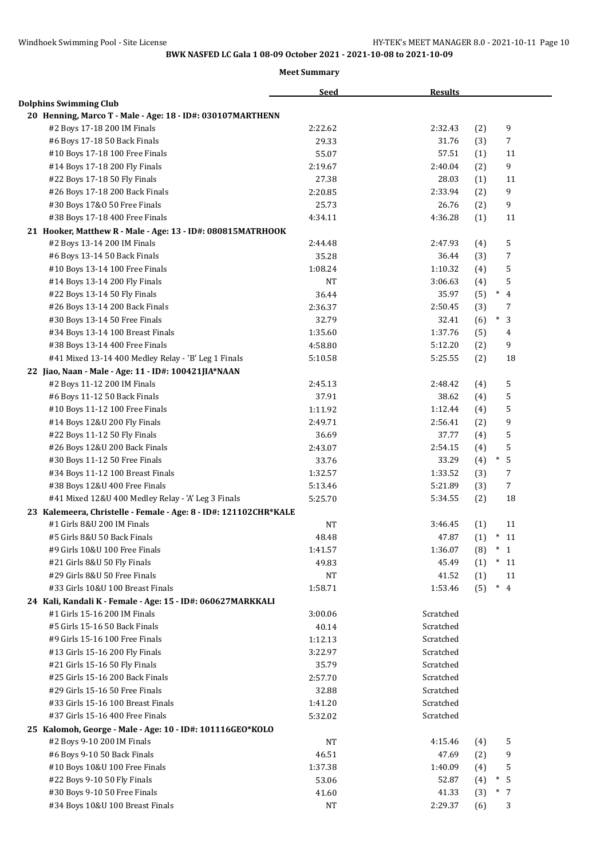|                                                                                             | <b>Seed</b>        | <b>Results</b>         |            |                          |
|---------------------------------------------------------------------------------------------|--------------------|------------------------|------------|--------------------------|
| <b>Dolphins Swimming Club</b>                                                               |                    |                        |            |                          |
| 20 Henning, Marco T - Male - Age: 18 - ID#: 030107MARTHENN                                  |                    |                        |            |                          |
| #2 Boys 17-18 200 IM Finals                                                                 | 2:22.62            | 2:32.43                | (2)        | 9                        |
| #6 Boys 17-18 50 Back Finals                                                                | 29.33              | 31.76                  | (3)        | 7                        |
| #10 Boys 17-18 100 Free Finals                                                              | 55.07              | 57.51                  | (1)        | 11                       |
| #14 Boys 17-18 200 Fly Finals                                                               | 2:19.67            | 2:40.04                | (2)        | 9                        |
| #22 Boys 17-18 50 Fly Finals                                                                | 27.38              | 28.03                  | (1)        | 11                       |
| #26 Boys 17-18 200 Back Finals                                                              | 2:20.85            | 2:33.94                | (2)        | 9                        |
| #30 Boys 17&0 50 Free Finals                                                                | 25.73              | 26.76                  | (2)        | 9                        |
| #38 Boys 17-18 400 Free Finals                                                              | 4:34.11            | 4:36.28                | (1)        | 11                       |
| 21 Hooker, Matthew R - Male - Age: 13 - ID#: 080815MATRHOOK                                 |                    |                        |            |                          |
| #2 Boys 13-14 200 IM Finals                                                                 | 2:44.48            | 2:47.93                | (4)        | 5                        |
| #6 Boys 13-14 50 Back Finals                                                                | 35.28              | 36.44                  | (3)        | 7                        |
| #10 Boys 13-14 100 Free Finals                                                              | 1:08.24            | 1:10.32                | (4)        | 5                        |
| #14 Boys 13-14 200 Fly Finals                                                               | NT                 | 3:06.63                | (4)        | 5                        |
| #22 Boys 13-14 50 Fly Finals                                                                | 36.44              | 35.97                  | (5)        | $\ast$<br>$\overline{4}$ |
| #26 Boys 13-14 200 Back Finals                                                              | 2:36.37            | 2:50.45                | (3)        | 7                        |
| #30 Boys 13-14 50 Free Finals                                                               | 32.79              | 32.41                  | (6)        | $\ast$<br>3              |
| #34 Boys 13-14 100 Breast Finals                                                            | 1:35.60            | 1:37.76                | (5)        | 4                        |
| #38 Boys 13-14 400 Free Finals                                                              | 4:58.80            | 5:12.20                | (2)        | 9                        |
| #41 Mixed 13-14 400 Medley Relay - 'B' Leg 1 Finals                                         | 5:10.58            | 5:25.55                | (2)        | 18                       |
| 22 Jiao, Naan - Male - Age: 11 - ID#: 100421JIA*NAAN                                        |                    |                        |            |                          |
| #2 Boys 11-12 200 IM Finals                                                                 | 2:45.13            | 2:48.42                | (4)        | 5                        |
| #6 Boys 11-12 50 Back Finals                                                                | 37.91              | 38.62                  | (4)        | 5                        |
| #10 Boys 11-12 100 Free Finals                                                              | 1:11.92            | 1:12.44                | (4)        | 5                        |
| #14 Boys 12&U 200 Fly Finals                                                                | 2:49.71            | 2:56.41                | (2)        | 9                        |
| #22 Boys 11-12 50 Fly Finals                                                                | 36.69              | 37.77                  | (4)        | 5                        |
| #26 Boys 12&U 200 Back Finals                                                               | 2:43.07            | 2:54.15                | (4)        | 5                        |
| #30 Boys 11-12 50 Free Finals                                                               | 33.76              | 33.29                  | (4)        | $\ast$<br>5              |
| #34 Boys 11-12 100 Breast Finals                                                            | 1:32.57            | 1:33.52                | (3)        | 7                        |
| #38 Boys 12&U 400 Free Finals                                                               | 5:13.46            | 5:21.89                | (3)        | $\overline{7}$           |
| #41 Mixed 12&U 400 Medley Relay - 'A' Leg 3 Finals                                          | 5:25.70            | 5:34.55                | (2)        | 18                       |
| 23 Kalemeera, Christelle - Female - Age: 8 - ID#: 121102CHR*KALE                            |                    |                        |            |                          |
| #1 Girls 8&U 200 IM Finals                                                                  |                    |                        |            | 11                       |
| #5 Girls 8&U 50 Back Finals                                                                 | <b>NT</b><br>48.48 | 3:46.45<br>47.87       | (1)        | $\ast$<br>11             |
| #9 Girls 10&U 100 Free Finals                                                               |                    | 1:36.07                | (1)        | $^\ast$ 1                |
| #21 Girls 8&U 50 Fly Finals                                                                 | 1:41.57<br>49.83   | 45.49                  | (8)<br>(1) | $*$<br><sup>11</sup>     |
| #29 Girls 8&U 50 Free Finals                                                                | NT                 | 41.52                  |            | 11                       |
| #33 Girls 10&U 100 Breast Finals                                                            | 1:58.71            | 1:53.46                | (1)<br>(5) | $\ast$<br>$\overline{4}$ |
|                                                                                             |                    |                        |            |                          |
| 24 Kali, Kandali K - Female - Age: 15 - ID#: 060627MARKKALI<br>#1 Girls 15-16 200 IM Finals | 3:00.06            | Scratched              |            |                          |
| #5 Girls 15-16 50 Back Finals                                                               | 40.14              | Scratched              |            |                          |
| #9 Girls 15-16 100 Free Finals                                                              |                    | Scratched              |            |                          |
|                                                                                             | 1:12.13            | Scratched              |            |                          |
| #13 Girls 15-16 200 Fly Finals                                                              | 3:22.97            |                        |            |                          |
| #21 Girls 15-16 50 Fly Finals<br>#25 Girls 15-16 200 Back Finals                            | 35.79              | Scratched<br>Scratched |            |                          |
|                                                                                             | 2:57.70            |                        |            |                          |
| #29 Girls 15-16 50 Free Finals                                                              | 32.88              | Scratched              |            |                          |
| #33 Girls 15-16 100 Breast Finals                                                           | 1:41.20            | Scratched              |            |                          |
| #37 Girls 15-16 400 Free Finals                                                             | 5:32.02            | Scratched              |            |                          |
| 25 Kalomoh, George - Male - Age: 10 - ID#: 101116GEO*KOLO                                   |                    |                        |            |                          |
| #2 Boys 9-10 200 IM Finals                                                                  | $_{\rm NT}$        | 4:15.46                | (4)        | 5                        |
| #6 Boys 9-10 50 Back Finals                                                                 | 46.51              | 47.69                  | (2)        | 9                        |
| #10 Boys 10&U 100 Free Finals                                                               | 1:37.38            | 1:40.09                | (4)        | 5                        |
| #22 Boys 9-10 50 Fly Finals                                                                 | 53.06              | 52.87                  | (4)        | $\ast$<br>5              |
| #30 Boys 9-10 50 Free Finals                                                                | 41.60              | 41.33                  | (3)        | $\ast$<br>7              |
| #34 Boys 10&U 100 Breast Finals                                                             | $_{\rm NT}$        | 2:29.37                | (6)        | 3                        |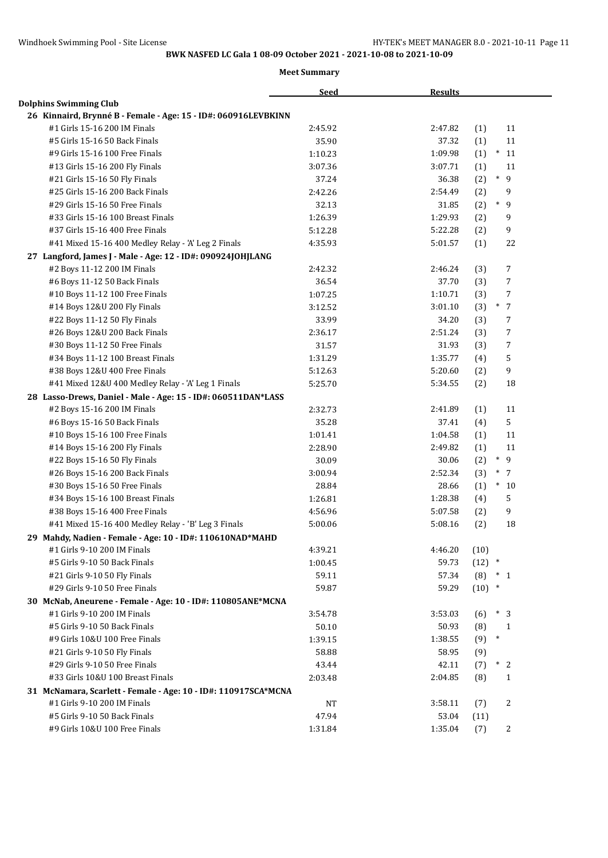|                                                                                               | <b>Seed</b>    | <b>Results</b>                             |
|-----------------------------------------------------------------------------------------------|----------------|--------------------------------------------|
| <b>Dolphins Swimming Club</b>                                                                 |                |                                            |
| 26 Kinnaird, Brynné B - Female - Age: 15 - ID#: 060916LEVBKINN                                |                |                                            |
| #1 Girls 15-16 200 IM Finals                                                                  | 2:45.92        | 11<br>2:47.82<br>(1)                       |
| #5 Girls 15-16 50 Back Finals                                                                 | 35.90          | 11<br>37.32<br>(1)                         |
| #9 Girls 15-16 100 Free Finals                                                                | 1:10.23        | $*11$<br>1:09.98<br>(1)                    |
| #13 Girls 15-16 200 Fly Finals                                                                | 3:07.36        | 11<br>3:07.71<br>(1)                       |
| #21 Girls 15-16 50 Fly Finals                                                                 | 37.24          | $* g$<br>36.38<br>(2)                      |
| #25 Girls 15-16 200 Back Finals                                                               | 2:42.26        | 9<br>2:54.49<br>(2)                        |
| #29 Girls 15-16 50 Free Finals                                                                | 32.13          | $\ast$<br>9<br>31.85<br>(2)                |
| #33 Girls 15-16 100 Breast Finals                                                             | 1:26.39        | 1:29.93<br>9<br>(2)                        |
| #37 Girls 15-16 400 Free Finals                                                               | 5:12.28        | 9<br>5:22.28<br>(2)                        |
| #41 Mixed 15-16 400 Medley Relay - 'A' Leg 2 Finals                                           | 4:35.93        | 22<br>5:01.57<br>(1)                       |
| 27 Langford, James J - Male - Age: 12 - ID#: 090924JOHJLANG                                   |                |                                            |
| #2 Boys 11-12 200 IM Finals                                                                   | 2:42.32        | 7<br>2:46.24<br>(3)                        |
| #6 Boys 11-12 50 Back Finals                                                                  | 36.54          | 7<br>37.70<br>(3)                          |
| #10 Boys 11-12 100 Free Finals                                                                | 1:07.25        | 1:10.71<br>7<br>(3)                        |
| #14 Boys 12&U 200 Fly Finals                                                                  | 3:12.52        | $\ast$<br>$\overline{7}$<br>3:01.10<br>(3) |
| #22 Boys 11-12 50 Fly Finals                                                                  | 33.99          | 7<br>34.20<br>(3)                          |
| #26 Boys 12&U 200 Back Finals                                                                 | 2:36.17        | 7<br>2:51.24<br>(3)                        |
| #30 Boys 11-12 50 Free Finals                                                                 | 31.57          | 7<br>31.93<br>(3)                          |
| #34 Boys 11-12 100 Breast Finals                                                              | 1:31.29        | 1:35.77<br>5<br>(4)                        |
| #38 Boys 12&U 400 Free Finals                                                                 | 5:12.63        | 9<br>5:20.60<br>(2)                        |
| #41 Mixed 12&U 400 Medley Relay - 'A' Leg 1 Finals                                            | 5:25.70        | 18<br>5:34.55<br>(2)                       |
| 28 Lasso-Drews, Daniel - Male - Age: 15 - ID#: 060511DAN*LASS                                 |                |                                            |
| #2 Boys 15-16 200 IM Finals                                                                   | 2:32.73        | 11<br>2:41.89<br>(1)                       |
| #6 Boys 15-16 50 Back Finals                                                                  | 35.28          | 5<br>37.41<br>(4)                          |
| #10 Boys 15-16 100 Free Finals                                                                | 1:01.41        | 11<br>1:04.58<br>(1)                       |
| #14 Boys 15-16 200 Fly Finals                                                                 | 2:28.90        | 11<br>2:49.82<br>(1)                       |
| #22 Boys 15-16 50 Fly Finals                                                                  | 30.09          | $\ast$<br>9<br>30.06<br>(2)                |
| #26 Boys 15-16 200 Back Finals                                                                | 3:00.94        | $*$ 7<br>2:52.34<br>(3)                    |
| #30 Boys 15-16 50 Free Finals                                                                 | 28.84          | $*10$<br>28.66<br>(1)                      |
| #34 Boys 15-16 100 Breast Finals                                                              | 1:26.81        | 1:28.38<br>5<br>(4)                        |
| #38 Boys 15-16 400 Free Finals                                                                | 4:56.96        | 9<br>5:07.58<br>(2)                        |
| #41 Mixed 15-16 400 Medley Relay - 'B' Leg 3 Finals                                           | 5:00.06        | 5:08.16<br>(2)<br>18                       |
| 29 Mahdy, Nadien - Female - Age: 10 - ID#: 110610NAD*MAHD                                     |                |                                            |
| #1 Girls 9-10 200 IM Finals                                                                   | 4:39.21        | 4:46.20<br>(10)                            |
| #5 Girls 9-10 50 Back Finals                                                                  | 1:00.45        | 59.73<br>$(12)$ *                          |
| #21 Girls 9-10 50 Fly Finals                                                                  | 59.11          | 57.34<br>$(8) * 1$                         |
| #29 Girls 9-10 50 Free Finals                                                                 | 59.87          | 59.29<br>$(10)$ *                          |
| 30 McNab, Aneurene - Female - Age: 10 - ID#: 110805ANE*MCNA                                   |                |                                            |
| #1 Girls 9-10 200 IM Finals                                                                   | 3:54.78        | $*3$<br>3:53.03<br>(6)                     |
| #5 Girls 9-10 50 Back Finals                                                                  | 50.10          | 50.93<br>(8)<br>1                          |
| #9 Girls 10&U 100 Free Finals                                                                 | 1:39.15        | $\ast$<br>(9)<br>1:38.55                   |
|                                                                                               |                |                                            |
| #21 Girls 9-10 50 Fly Finals<br>#29 Girls 9-10 50 Free Finals                                 | 58.88<br>43.44 | 58.95<br>(9)<br>$*2$<br>42.11<br>(7)       |
| #33 Girls 10&U 100 Breast Finals                                                              | 2:03.48        | 2:04.85<br>(8)<br>1                        |
|                                                                                               |                |                                            |
| 31 McNamara, Scarlett - Female - Age: 10 - ID#: 110917SCA*MCNA<br>#1 Girls 9-10 200 IM Finals |                |                                            |
|                                                                                               | NT             | 2<br>3:58.11<br>(7)                        |
| #5 Girls 9-10 50 Back Finals                                                                  | 47.94          | 53.04<br>(11)                              |
| #9 Girls 10&U 100 Free Finals                                                                 | 1:31.84        | 1:35.04<br>2<br>(7)                        |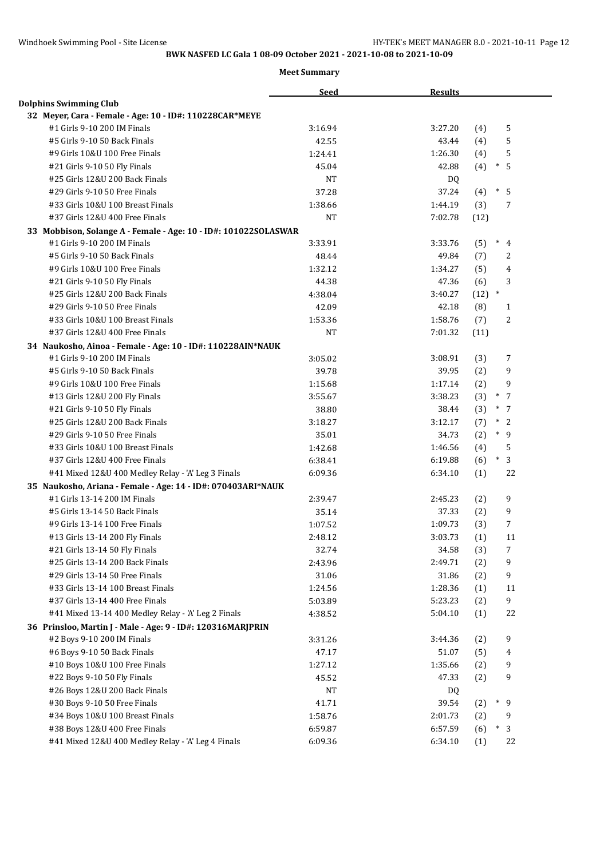|                                                                 | <b>Seed</b> | <b>Results</b> |      |                          |
|-----------------------------------------------------------------|-------------|----------------|------|--------------------------|
| <b>Dolphins Swimming Club</b>                                   |             |                |      |                          |
| 32 Meyer, Cara - Female - Age: 10 - ID#: 110228CAR*MEYE         |             |                |      |                          |
| #1 Girls 9-10 200 IM Finals                                     | 3:16.94     | 3:27.20        | (4)  | 5                        |
| #5 Girls 9-10 50 Back Finals                                    | 42.55       | 43.44          | (4)  | 5                        |
| #9 Girls 10&U 100 Free Finals                                   | 1:24.41     | 1:26.30        | (4)  | 5                        |
| #21 Girls 9-10 50 Fly Finals                                    | 45.04       | 42.88          | (4)  | $\ast$<br>5              |
| #25 Girls 12&U 200 Back Finals                                  | <b>NT</b>   | DQ             |      |                          |
| #29 Girls 9-10 50 Free Finals                                   | 37.28       | 37.24          | (4)  | $\ast$<br>- 5            |
| #33 Girls 10&U 100 Breast Finals                                | 1:38.66     | 1:44.19        | (3)  | 7                        |
| #37 Girls 12&U 400 Free Finals                                  | <b>NT</b>   | 7:02.78        | (12) |                          |
| 33 Mobbison, Solange A - Female - Age: 10 - ID#: 101022SOLASWAR |             |                |      |                          |
| #1 Girls 9-10 200 IM Finals                                     | 3:33.91     | 3:33.76        | (5)  | $*$ 4                    |
| #5 Girls 9-10 50 Back Finals                                    | 48.44       | 49.84          | (7)  | 2                        |
| #9 Girls 10&U 100 Free Finals                                   | 1:32.12     | 1:34.27        | (5)  | 4                        |
| #21 Girls 9-10 50 Fly Finals                                    | 44.38       | 47.36          | (6)  | 3                        |
| #25 Girls 12&U 200 Back Finals                                  | 4:38.04     | 3:40.27        | (12) | $\ast$                   |
| #29 Girls 9-10 50 Free Finals                                   | 42.09       | 42.18          | (8)  | 1                        |
| #33 Girls 10&U 100 Breast Finals                                | 1:53.36     | 1:58.76        | (7)  | 2                        |
| #37 Girls 12&U 400 Free Finals                                  | <b>NT</b>   | 7:01.32        | (11) |                          |
| 34 Naukosho, Ainoa - Female - Age: 10 - ID#: 110228AIN*NAUK     |             |                |      |                          |
| #1 Girls 9-10 200 IM Finals                                     | 3:05.02     | 3:08.91        | (3)  | 7                        |
| #5 Girls 9-10 50 Back Finals                                    | 39.78       | 39.95          | (2)  | 9                        |
| #9 Girls 10&U 100 Free Finals                                   | 1:15.68     | 1:17.14        | (2)  | 9                        |
| #13 Girls 12&U 200 Fly Finals                                   | 3:55.67     | 3:38.23        | (3)  | $\overline{7}$<br>$\ast$ |
| #21 Girls 9-10 50 Fly Finals                                    | 38.80       | 38.44          | (3)  | $*$ 7                    |
| #25 Girls 12&U 200 Back Finals                                  | 3:18.27     | 3:12.17        | (7)  | $*2$                     |
| #29 Girls 9-10 50 Free Finals                                   | 35.01       | 34.73          | (2)  | $*$ 9                    |
| #33 Girls 10&U 100 Breast Finals                                | 1:42.68     | 1:46.56        | (4)  | 5                        |
| #37 Girls 12&U 400 Free Finals                                  | 6:38.41     | 6:19.88        | (6)  | $\ast$<br>3              |
| #41 Mixed 12&U 400 Medley Relay - 'A' Leg 3 Finals              | 6:09.36     | 6:34.10        | (1)  | 22                       |
| 35 Naukosho, Ariana - Female - Age: 14 - ID#: 070403ARI*NAUK    |             |                |      |                          |
| #1 Girls 13-14 200 IM Finals                                    | 2:39.47     | 2:45.23        | (2)  | 9                        |
| #5 Girls 13-14 50 Back Finals                                   | 35.14       | 37.33          | (2)  | 9                        |
| #9 Girls 13-14 100 Free Finals                                  | 1:07.52     | 1:09.73        | (3)  | $\overline{7}$           |
| #13 Girls 13-14 200 Fly Finals                                  | 2:48.12     | 3:03.73        | (1)  | 11                       |
| #21 Girls 13-14 50 Fly Finals                                   | 32.74       | 34.58          | (3)  | 7                        |
| #25 Girls 13-14 200 Back Finals                                 | 2:43.96     | 2:49.71        | (2)  | 9                        |
| #29 Girls 13-14 50 Free Finals                                  | 31.06       | 31.86          | (2)  | 9                        |
| #33 Girls 13-14 100 Breast Finals                               | 1:24.56     | 1:28.36        | (1)  | 11                       |
| #37 Girls 13-14 400 Free Finals                                 | 5:03.89     | 5:23.23        | (2)  | 9                        |
| #41 Mixed 13-14 400 Medley Relay - 'A' Leg 2 Finals             | 4:38.52     | 5:04.10        | (1)  | 22                       |
| 36 Prinsloo, Martin J - Male - Age: 9 - ID#: 120316MARJPRIN     |             |                |      |                          |
| #2 Boys 9-10 200 IM Finals                                      | 3:31.26     | 3:44.36        | (2)  | 9                        |
| #6 Boys 9-10 50 Back Finals                                     | 47.17       | 51.07          | (5)  | 4                        |
| #10 Boys 10&U 100 Free Finals                                   | 1:27.12     | 1:35.66        | (2)  | 9                        |
| #22 Boys 9-10 50 Fly Finals                                     | 45.52       | 47.33          | (2)  | 9                        |
| #26 Boys 12&U 200 Back Finals                                   | <b>NT</b>   | DQ             |      |                          |
| #30 Boys 9-10 50 Free Finals                                    | 41.71       | 39.54          | (2)  | $*$ 9                    |
| #34 Boys 10&U 100 Breast Finals                                 | 1:58.76     | 2:01.73        | (2)  | 9                        |
| #38 Boys 12&U 400 Free Finals                                   | 6:59.87     | 6:57.59        | (6)  | $\ast$<br>3              |
| #41 Mixed 12&U 400 Medley Relay - 'A' Leg 4 Finals              | 6:09.36     | 6:34.10        | (1)  | 22                       |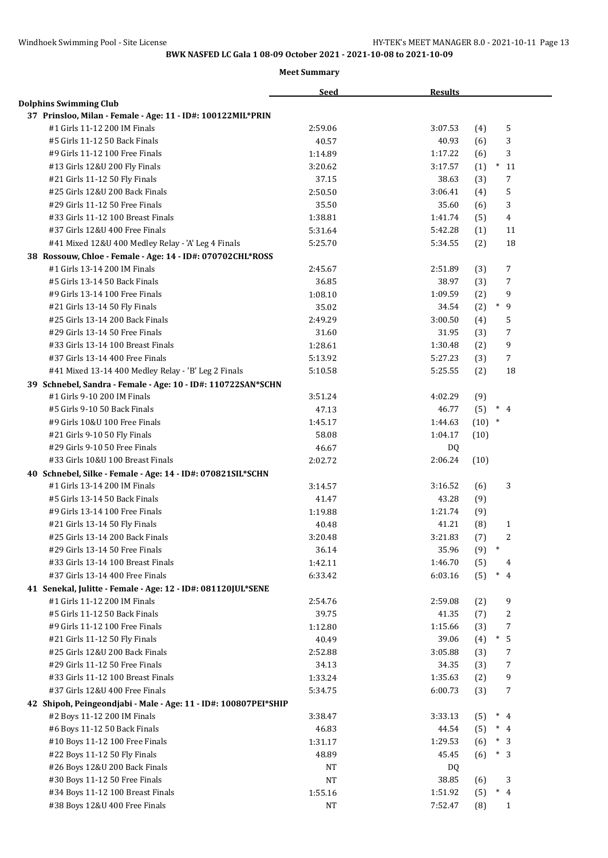|                                                                 | <b>Seed</b> | <b>Results</b>                   |
|-----------------------------------------------------------------|-------------|----------------------------------|
| <b>Dolphins Swimming Club</b>                                   |             |                                  |
| 37 Prinsloo, Milan - Female - Age: 11 - ID#: 100122MIL*PRIN     |             |                                  |
| #1 Girls 11-12 200 IM Finals                                    | 2:59.06     | 5<br>3:07.53<br>(4)              |
| #5 Girls 11-12 50 Back Finals                                   | 40.57       | 3<br>40.93<br>(6)                |
| #9 Girls 11-12 100 Free Finals                                  | 1:14.89     | 3<br>1:17.22<br>(6)              |
| #13 Girls 12&U 200 Fly Finals                                   | 3:20.62     | (1)<br>$*11$<br>3:17.57          |
| #21 Girls 11-12 50 Fly Finals                                   | 37.15       | 38.63<br>(3)<br>7                |
| #25 Girls 12&U 200 Back Finals                                  | 2:50.50     | 5<br>3:06.41<br>(4)              |
| #29 Girls 11-12 50 Free Finals                                  | 35.50       | 35.60<br>3<br>(6)                |
| #33 Girls 11-12 100 Breast Finals                               | 1:38.81     | $\overline{4}$<br>1:41.74<br>(5) |
| #37 Girls 12&U 400 Free Finals                                  | 5:31.64     | 5:42.28<br>(1)<br>11             |
| #41 Mixed 12&U 400 Medley Relay - 'A' Leg 4 Finals              | 5:25.70     | 18<br>5:34.55<br>(2)             |
| 38 Rossouw, Chloe - Female - Age: 14 - ID#: 070702CHL*ROSS      |             |                                  |
| #1 Girls 13-14 200 IM Finals                                    | 2:45.67     | 7<br>2:51.89<br>(3)              |
| #5 Girls 13-14 50 Back Finals                                   | 36.85       | 7<br>38.97<br>(3)                |
| #9 Girls 13-14 100 Free Finals                                  | 1:08.10     | 9<br>1:09.59<br>(2)              |
| #21 Girls 13-14 50 Fly Finals                                   | 35.02       | $\ast$<br>9<br>(2)<br>34.54      |
| #25 Girls 13-14 200 Back Finals                                 | 2:49.29     | 5<br>3:00.50<br>(4)              |
| #29 Girls 13-14 50 Free Finals                                  | 31.60       | 7<br>31.95<br>(3)                |
| #33 Girls 13-14 100 Breast Finals                               | 1:28.61     | 9<br>1:30.48<br>(2)              |
| #37 Girls 13-14 400 Free Finals                                 | 5:13.92     | 5:27.23<br>7<br>(3)              |
| #41 Mixed 13-14 400 Medley Relay - 'B' Leg 2 Finals             | 5:10.58     | 18<br>5:25.55<br>(2)             |
| 39 Schnebel, Sandra - Female - Age: 10 - ID#: 110722SAN*SCHN    |             |                                  |
| #1 Girls 9-10 200 IM Finals                                     | 3:51.24     | 4:02.29<br>(9)                   |
| #5 Girls 9-10 50 Back Finals                                    | 47.13       | 46.77<br>$*$ 4<br>(5)            |
| #9 Girls 10&U 100 Free Finals                                   | 1:45.17     | $(10)$ *<br>1:44.63              |
| #21 Girls 9-10 50 Fly Finals                                    | 58.08       | 1:04.17<br>(10)                  |
| #29 Girls 9-10 50 Free Finals                                   | 46.67       | DQ                               |
| #33 Girls 10&U 100 Breast Finals                                | 2:02.72     | 2:06.24<br>(10)                  |
| 40 Schnebel, Silke - Female - Age: 14 - ID#: 070821SIL*SCHN     |             |                                  |
| #1 Girls 13-14 200 IM Finals                                    | 3:14.57     | 3<br>3:16.52<br>(6)              |
| #5 Girls 13-14 50 Back Finals                                   | 41.47       | 43.28<br>(9)                     |
| #9 Girls 13-14 100 Free Finals                                  | 1:19.88     | 1:21.74<br>(9)                   |
| #21 Girls 13-14 50 Fly Finals                                   | 40.48       | 41.21<br>(8)<br>$\mathbf{1}$     |
| #25 Girls 13-14 200 Back Finals                                 | 3:20.48     | 2<br>3:21.83<br>(7)              |
| #29 Girls 13-14 50 Free Finals                                  | 36.14       | $\ast$<br>35.96<br>(9)           |
| #33 Girls 13-14 100 Breast Finals                               | 1:42.11     | 1:46.70<br>(5)<br>4              |
| #37 Girls 13-14 400 Free Finals                                 | 6:33.42     | $\ast$<br>6:03.16<br>(5)<br>4    |
| 41 Senekal, Julitte - Female - Age: 12 - ID#: 081120JUL*SENE    |             |                                  |
| #1 Girls 11-12 200 IM Finals                                    | 2:54.76     | 9<br>2:59.08<br>(2)              |
| #5 Girls 11-12 50 Back Finals                                   | 39.75       | 41.35<br>2<br>(7)                |
| #9 Girls 11-12 100 Free Finals                                  | 1:12.80     | 7<br>1:15.66<br>(3)              |
| #21 Girls 11-12 50 Fly Finals                                   | 40.49       | 39.06<br>$^{\ast}$<br>5<br>(4)   |
| #25 Girls 12&U 200 Back Finals                                  | 2:52.88     | 3:05.88<br>(3)<br>7              |
| #29 Girls 11-12 50 Free Finals                                  | 34.13       | 34.35<br>7<br>(3)                |
| #33 Girls 11-12 100 Breast Finals                               | 1:33.24     | 9<br>1:35.63<br>(2)              |
| #37 Girls 12&U 400 Free Finals                                  | 5:34.75     | 6:00.73<br>7<br>(3)              |
| 42 Shipoh, Peingeondjabi - Male - Age: 11 - ID#: 100807PEI*SHIP |             |                                  |
| #2 Boys 11-12 200 IM Finals                                     | 3:38.47     | 3:33.13<br>$*$ 4<br>(5)          |
| #6 Boys 11-12 50 Back Finals                                    | 46.83       | 44.54<br>(5)<br>$*$ 4            |
| #10 Boys 11-12 100 Free Finals                                  | 1:31.17     | 1:29.53<br>$*3$<br>(6)           |
| #22 Boys 11-12 50 Fly Finals                                    | 48.89       | 45.45<br>(6)<br>$\ast$<br>- 3    |
| #26 Boys 12&U 200 Back Finals                                   | NT          | DQ                               |
| #30 Boys 11-12 50 Free Finals                                   | <b>NT</b>   | 38.85<br>3<br>(6)                |
| #34 Boys 11-12 100 Breast Finals                                | 1:55.16     | $\ast$<br>1:51.92<br>(5)<br>4    |
| #38 Boys 12&U 400 Free Finals                                   | $_{\rm NT}$ | 7:52.47<br>(8)<br>1              |
|                                                                 |             |                                  |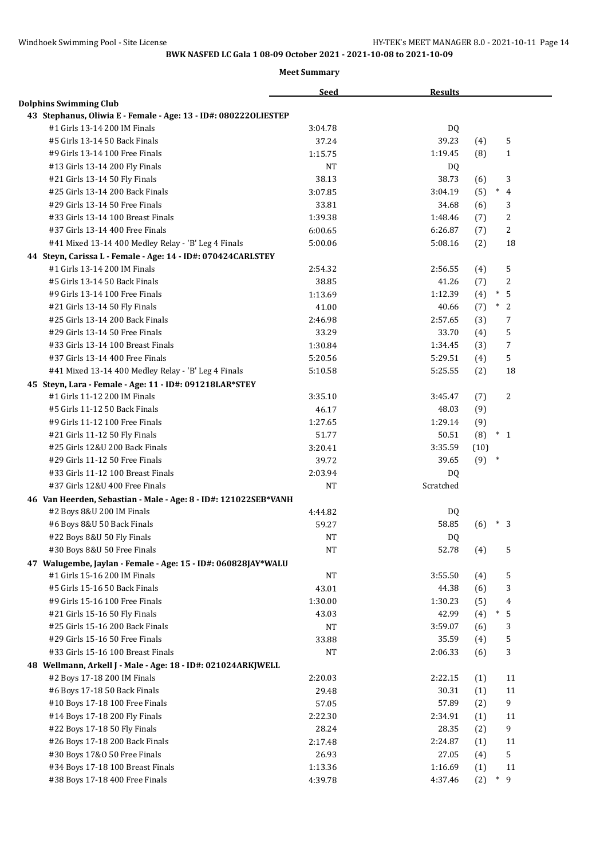|                                                                 | <b>Seed</b>        | <b>Results</b> |                       |
|-----------------------------------------------------------------|--------------------|----------------|-----------------------|
| <b>Dolphins Swimming Club</b>                                   |                    |                |                       |
| 43 Stephanus, Oliwia E - Female - Age: 13 - ID#: 0802220LIESTEP |                    |                |                       |
| #1 Girls 13-14 200 IM Finals                                    | 3:04.78            | DQ             |                       |
| #5 Girls 13-14 50 Back Finals                                   | 37.24              | 39.23          | 5<br>(4)              |
| #9 Girls 13-14 100 Free Finals                                  | 1:15.75            | 1:19.45        | (8)<br>$\mathbf{1}$   |
| #13 Girls 13-14 200 Fly Finals                                  | NT                 | DQ.            |                       |
| #21 Girls 13-14 50 Fly Finals                                   | 38.13              | 38.73          | 3<br>(6)              |
| #25 Girls 13-14 200 Back Finals                                 | 3:07.85            | 3:04.19        | $\ast$<br>(5)<br>4    |
| #29 Girls 13-14 50 Free Finals                                  | 33.81              | 34.68          | 3<br>(6)              |
| #33 Girls 13-14 100 Breast Finals                               | 1:39.38            | 1:48.46        | 2<br>(7)              |
| #37 Girls 13-14 400 Free Finals                                 | 6:00.65            | 6:26.87        | 2<br>(7)              |
| #41 Mixed 13-14 400 Medley Relay - 'B' Leg 4 Finals             | 5:00.06            | 5:08.16        | 18<br>(2)             |
| 44 Steyn, Carissa L - Female - Age: 14 - ID#: 070424CARLSTEY    |                    |                |                       |
| #1 Girls 13-14 200 IM Finals                                    | 2:54.32            | 2:56.55        | 5<br>(4)              |
| #5 Girls 13-14 50 Back Finals                                   | 38.85              | 41.26          | 2<br>(7)              |
| #9 Girls 13-14 100 Free Finals                                  | 1:13.69            | 1:12.39        | 5<br>(4)<br>$\ast$    |
| #21 Girls 13-14 50 Fly Finals                                   | 41.00              | 40.66          | $^{\ast}$<br>2<br>(7) |
| #25 Girls 13-14 200 Back Finals                                 | 2:46.98            | 2:57.65        | 7<br>(3)              |
| #29 Girls 13-14 50 Free Finals                                  | 33.29              | 33.70          | 5<br>(4)              |
| #33 Girls 13-14 100 Breast Finals                               | 1:30.84            | 1:34.45        | 7<br>(3)              |
| #37 Girls 13-14 400 Free Finals                                 | 5:20.56            | 5:29.51        | 5<br>(4)              |
| #41 Mixed 13-14 400 Medley Relay - 'B' Leg 4 Finals             | 5:10.58            | 5:25.55        | 18<br>(2)             |
| 45 Steyn, Lara - Female - Age: 11 - ID#: 091218LAR*STEY         |                    |                |                       |
| #1 Girls 11-12 200 IM Finals                                    | 3:35.10            | 3:45.47        | 2<br>(7)              |
| #5 Girls 11-12 50 Back Finals                                   | 46.17              | 48.03          | (9)                   |
| #9 Girls 11-12 100 Free Finals                                  | 1:27.65            | 1:29.14        | (9)                   |
| #21 Girls 11-12 50 Fly Finals                                   | 51.77              | 50.51          | (8)<br>$*1$           |
| #25 Girls 12&U 200 Back Finals                                  | 3:20.41            | 3:35.59        | (10)                  |
| #29 Girls 11-12 50 Free Finals                                  | 39.72              | 39.65          | $(9)$ *               |
| #33 Girls 11-12 100 Breast Finals                               | 2:03.94            | <b>DQ</b>      |                       |
| #37 Girls 12&U 400 Free Finals                                  | <b>NT</b>          | Scratched      |                       |
| 46 Van Heerden, Sebastian - Male - Age: 8 - ID#: 121022SEB*VANH |                    |                |                       |
| #2 Boys 8&U 200 IM Finals                                       | 4:44.82            | DQ             |                       |
| #6 Boys 8&U 50 Back Finals                                      | 59.27              | 58.85          | (6)<br>$\ast$<br>3    |
| #22 Boys 8&U 50 Fly Finals                                      | NT                 | <b>DQ</b>      |                       |
| #30 Boys 8&U 50 Free Finals                                     | <b>NT</b>          | 52.78          | 5<br>(4)              |
| 47 Walugembe, Jaylan - Female - Age: 15 - ID#: 060828JAY*WALU   |                    |                |                       |
| #1 Girls 15-16 200 IM Finals                                    | $_{\rm NT}$        | 3:55.50        | 5<br>(4)              |
| #5 Girls 15-16 50 Back Finals                                   | 43.01              | 44.38          | 3<br>(6)              |
| #9 Girls 15-16 100 Free Finals                                  | 1:30.00            | 1:30.23        | (5)<br>4              |
| #21 Girls 15-16 50 Fly Finals                                   | 43.03              | 42.99          | $\ast$<br>5<br>(4)    |
| #25 Girls 15-16 200 Back Finals                                 |                    | 3:59.07        |                       |
| #29 Girls 15-16 50 Free Finals                                  | NT                 | 35.59          | (6)<br>3              |
|                                                                 | 33.88<br><b>NT</b> |                | 5<br>(4)              |
| #33 Girls 15-16 100 Breast Finals                               |                    | 2:06.33        | 3<br>(6)              |
| 48 Wellmann, Arkell J - Male - Age: 18 - ID#: 021024ARKJWELL    |                    |                |                       |
| #2 Boys 17-18 200 IM Finals                                     | 2:20.03            | 2:22.15        | 11<br>(1)             |
| #6 Boys 17-18 50 Back Finals                                    | 29.48              | 30.31          | 11<br>(1)             |
| #10 Boys 17-18 100 Free Finals                                  | 57.05              | 57.89          | 9<br>(2)              |
| #14 Boys 17-18 200 Fly Finals                                   | 2:22.30            | 2:34.91        | (1)<br>11             |
| #22 Boys 17-18 50 Fly Finals                                    | 28.24              | 28.35          | 9<br>(2)              |
| #26 Boys 17-18 200 Back Finals                                  | 2:17.48            | 2:24.87        | (1)<br>11             |
| #30 Boys 17&0 50 Free Finals                                    | 26.93              | 27.05          | 5<br>(4)              |
| #34 Boys 17-18 100 Breast Finals                                | 1:13.36            | 1:16.69        | 11<br>(1)             |
| #38 Boys 17-18 400 Free Finals                                  | 4:39.78            | 4:37.46        | $*$ 9<br>(2)          |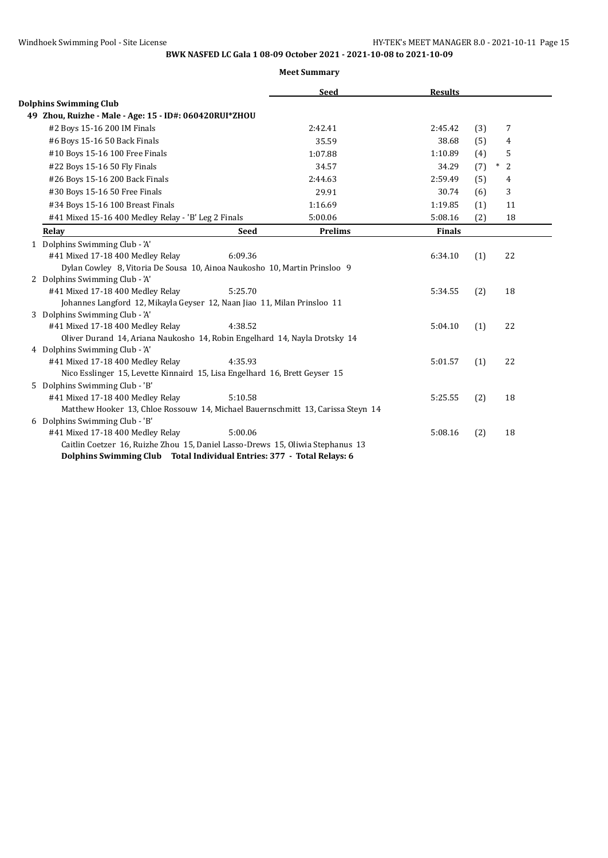|                                                                                                                   |             | <b>Seed</b>    | <b>Results</b> |     |                     |
|-------------------------------------------------------------------------------------------------------------------|-------------|----------------|----------------|-----|---------------------|
| <b>Dolphins Swimming Club</b>                                                                                     |             |                |                |     |                     |
| 49 Zhou, Ruizhe - Male - Age: 15 - ID#: 060420RUI*ZHOU                                                            |             |                |                |     |                     |
| #2 Boys 15-16 200 IM Finals                                                                                       |             | 2:42.41        | 2:45.42        | (3) | $\overline{7}$      |
| #6 Boys 15-16 50 Back Finals                                                                                      |             | 35.59          | 38.68          | (5) | 4                   |
| #10 Boys 15-16 100 Free Finals                                                                                    |             | 1:07.88        | 1:10.89        | (4) | 5                   |
| #22 Boys 15-16 50 Fly Finals                                                                                      |             | 34.57          | 34.29          | (7) | $\overline{2}$<br>∗ |
| #26 Boys 15-16 200 Back Finals                                                                                    |             | 2:44.63        | 2:59.49        | (5) | 4                   |
| #30 Boys 15-16 50 Free Finals                                                                                     |             | 29.91          | 30.74          | (6) | 3                   |
| #34 Boys 15-16 100 Breast Finals                                                                                  |             | 1:16.69        | 1:19.85        | (1) | 11                  |
| #41 Mixed 15-16 400 Medley Relay - 'B' Leg 2 Finals                                                               |             | 5:00.06        | 5:08.16        | (2) | 18                  |
| Relay                                                                                                             | <b>Seed</b> | <b>Prelims</b> | <b>Finals</b>  |     |                     |
| 1 Dolphins Swimming Club - 'A'                                                                                    |             |                |                |     |                     |
| #41 Mixed 17-18 400 Medley Relay                                                                                  | 6:09.36     |                | 6:34.10        | (1) | 22                  |
| Dylan Cowley 8, Vitoria De Sousa 10, Ainoa Naukosho 10, Martin Prinsloo 9                                         |             |                |                |     |                     |
| 2 Dolphins Swimming Club - 'A'                                                                                    |             |                |                |     |                     |
| #41 Mixed 17-18 400 Medley Relay                                                                                  | 5:25.70     |                | 5:34.55        | (2) | 18                  |
| Johannes Langford 12, Mikayla Geyser 12, Naan Jiao 11, Milan Prinsloo 11                                          |             |                |                |     |                     |
| 3 Dolphins Swimming Club - 'A'                                                                                    |             |                |                |     |                     |
| #41 Mixed 17-18 400 Medley Relay                                                                                  | 4:38.52     |                | 5:04.10        | (1) | 22                  |
| Oliver Durand 14, Ariana Naukosho 14, Robin Engelhard 14, Nayla Drotsky 14                                        |             |                |                |     |                     |
| 4 Dolphins Swimming Club - 'A'                                                                                    |             |                |                |     |                     |
| #41 Mixed 17-18 400 Medley Relay                                                                                  | 4:35.93     |                | 5:01.57        | (1) | 22                  |
| Nico Esslinger 15, Levette Kinnaird 15, Lisa Engelhard 16, Brett Geyser 15                                        |             |                |                |     |                     |
| 5 Dolphins Swimming Club - 'B'<br>#41 Mixed 17-18 400 Medley Relay                                                | 5:10.58     |                | 5:25.55        |     | 18                  |
|                                                                                                                   |             |                |                | (2) |                     |
| Matthew Hooker 13, Chloe Rossouw 14, Michael Bauernschmitt 13, Carissa Steyn 14<br>6 Dolphins Swimming Club - 'B' |             |                |                |     |                     |
| #41 Mixed 17-18 400 Medley Relay                                                                                  | 5:00.06     |                | 5:08.16        | (2) | 18                  |
| Caitlin Coetzer 16, Ruizhe Zhou 15, Daniel Lasso-Drews 15, Oliwia Stephanus 13                                    |             |                |                |     |                     |
| Dolphins Swimming Club Total Individual Entries: 377 - Total Relays: 6                                            |             |                |                |     |                     |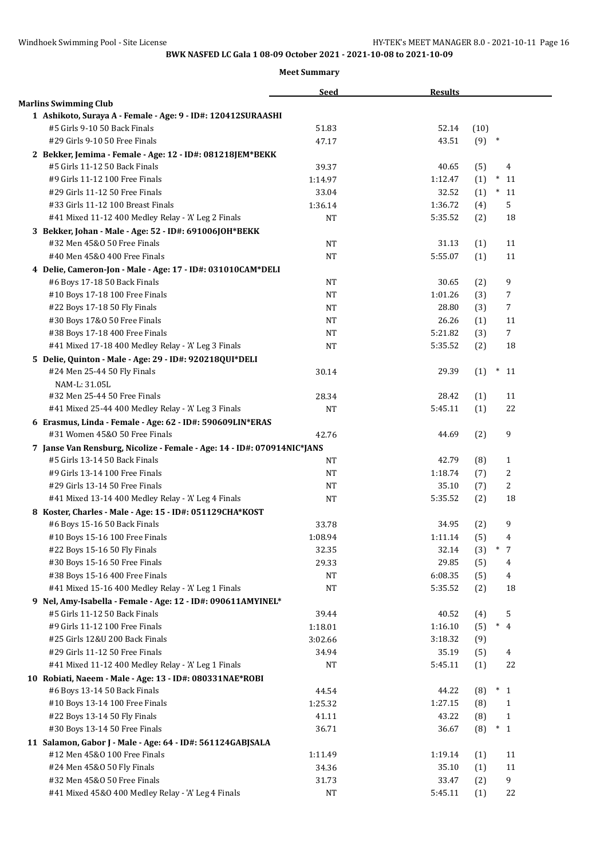|                                                                         | Seed      | <b>Results</b> |         |                |
|-------------------------------------------------------------------------|-----------|----------------|---------|----------------|
| <b>Marlins Swimming Club</b>                                            |           |                |         |                |
| 1 Ashikoto, Suraya A - Female - Age: 9 - ID#: 120412SURAASHI            |           |                |         |                |
| #5 Girls 9-10 50 Back Finals                                            | 51.83     | 52.14          | (10)    |                |
| #29 Girls 9-10 50 Free Finals                                           | 47.17     | 43.51          | $(9)$ * |                |
| 2 Bekker, Jemima - Female - Age: 12 - ID#: 081218JEM*BEKK               |           |                |         |                |
| #5 Girls 11-12 50 Back Finals                                           | 39.37     | 40.65          | (5)     | 4              |
| #9 Girls 11-12 100 Free Finals                                          | 1:14.97   | 1:12.47        | (1)     | $^{\ast}$ 11   |
| #29 Girls 11-12 50 Free Finals                                          | 33.04     | 32.52          | (1)     | $*11$          |
| #33 Girls 11-12 100 Breast Finals                                       | 1:36.14   | 1:36.72        | (4)     | 5              |
| #41 Mixed 11-12 400 Medley Relay - 'A' Leg 2 Finals                     | NT        | 5:35.52        | (2)     | 18             |
| 3 Bekker, Johan - Male - Age: 52 - ID#: 691006JOH*BEKK                  |           |                |         |                |
| #32 Men 45&0 50 Free Finals                                             | <b>NT</b> | 31.13          | (1)     | 11             |
| #40 Men 45&0 400 Free Finals                                            | <b>NT</b> | 5:55.07        | (1)     | 11             |
| 4 Delie, Cameron-Jon - Male - Age: 17 - ID#: 031010CAM*DELI             |           |                |         |                |
| #6 Boys 17-18 50 Back Finals                                            | NT        | 30.65          | (2)     | 9              |
| #10 Boys 17-18 100 Free Finals                                          | <b>NT</b> | 1:01.26        | (3)     | 7              |
| #22 Boys 17-18 50 Fly Finals                                            | <b>NT</b> | 28.80          | (3)     | 7              |
| #30 Boys 17&0 50 Free Finals                                            | <b>NT</b> | 26.26          | (1)     | 11             |
| #38 Boys 17-18 400 Free Finals                                          | <b>NT</b> | 5:21.82        | (3)     | $\overline{7}$ |
| #41 Mixed 17-18 400 Medley Relay - 'A' Leg 3 Finals                     | <b>NT</b> | 5:35.52        | (2)     | 18             |
| 5 Delie, Quinton - Male - Age: 29 - ID#: 920218QUI*DELI                 |           |                |         |                |
| #24 Men 25-44 50 Fly Finals                                             | 30.14     | 29.39          | (1)     | $\ast$<br>11   |
| NAM-L: 31.05L                                                           |           |                |         |                |
| #32 Men 25-44 50 Free Finals                                            | 28.34     | 28.42          | (1)     | 11             |
| #41 Mixed 25-44 400 Medley Relay - 'A' Leg 3 Finals                     | <b>NT</b> | 5:45.11        | (1)     | 22             |
| 6 Erasmus, Linda - Female - Age: 62 - ID#: 590609LIN*ERAS               |           |                |         |                |
| #31 Women 45&0 50 Free Finals                                           | 42.76     | 44.69          | (2)     | 9              |
| 7 Janse Van Rensburg, Nicolize - Female - Age: 14 - ID#: 070914NIC*JANS |           |                |         |                |
| #5 Girls 13-14 50 Back Finals                                           | NT        | 42.79          | (8)     | $\mathbf{1}$   |
| #9 Girls 13-14 100 Free Finals                                          | <b>NT</b> | 1:18.74        | (7)     | 2              |
| #29 Girls 13-14 50 Free Finals                                          | NT        | 35.10          | (7)     | 2              |
| #41 Mixed 13-14 400 Medley Relay - 'A' Leg 4 Finals                     | <b>NT</b> | 5:35.52        | (2)     | 18             |
| 8 Koster, Charles - Male - Age: 15 - ID#: 051129CHA*KOST                |           |                |         |                |
| #6 Boys 15-16 50 Back Finals                                            | 33.78     | 34.95          | (2)     | 9              |
| #10 Boys 15-16 100 Free Finals                                          | 1:08.94   | 1:11.14        | (5)     | $\overline{4}$ |
| #22 Boys 15-16 50 Fly Finals                                            | 32.35     | 32.14          | (3)     | $*$ 7          |
| #30 Boys 15-16 50 Free Finals                                           | 29.33     | 29.85          | (5)     | 4              |
| #38 Boys 15-16 400 Free Finals                                          | NT        | 6:08.35        | (5)     | $\overline{4}$ |
| #41 Mixed 15-16 400 Medley Relay - 'A' Leg 1 Finals                     | NT        | 5:35.52        | (2)     | 18             |
| 9 Nel, Amy-Isabella - Female - Age: 12 - ID#: 090611AMYINEL*            |           |                |         |                |
| #5 Girls 11-12 50 Back Finals                                           | 39.44     | 40.52          | (4)     | 5              |
| #9 Girls 11-12 100 Free Finals                                          | 1:18.01   | 1:16.10        | (5)     | $\ast$<br>4    |
| #25 Girls 12&U 200 Back Finals                                          | 3:02.66   | 3:18.32        | (9)     |                |
| #29 Girls 11-12 50 Free Finals                                          | 34.94     | 35.19          | (5)     | 4              |
| #41 Mixed 11-12 400 Medley Relay - 'A' Leg 1 Finals                     | NT        | 5:45.11        | (1)     | 22             |
| 10 Robiati, Naeem - Male - Age: 13 - ID#: 080331NAE*ROBI                |           |                |         |                |
| #6 Boys 13-14 50 Back Finals                                            | 44.54     | 44.22          | (8)     | $*_{1}$        |
| #10 Boys 13-14 100 Free Finals                                          | 1:25.32   | 1:27.15        | (8)     | 1              |
| #22 Boys 13-14 50 Fly Finals                                            | 41.11     | 43.22          | (8)     | $\mathbf{1}$   |
| #30 Boys 13-14 50 Free Finals                                           | 36.71     | 36.67          | (8)     | $*_{1}$        |
| 11 Salamon, Gabor J - Male - Age: 64 - ID#: 561124GABJSALA              |           |                |         |                |
| #12 Men 45&0 100 Free Finals                                            | 1:11.49   | 1:19.14        | (1)     | 11             |
| #24 Men 45&0 50 Fly Finals                                              | 34.36     | 35.10          | (1)     | 11             |
| #32 Men 45&0 50 Free Finals                                             | 31.73     | 33.47          | (2)     | 9              |
| #41 Mixed 45&0 400 Medley Relay - 'A' Leg 4 Finals                      | <b>NT</b> | 5:45.11        | (1)     | 22             |
|                                                                         |           |                |         |                |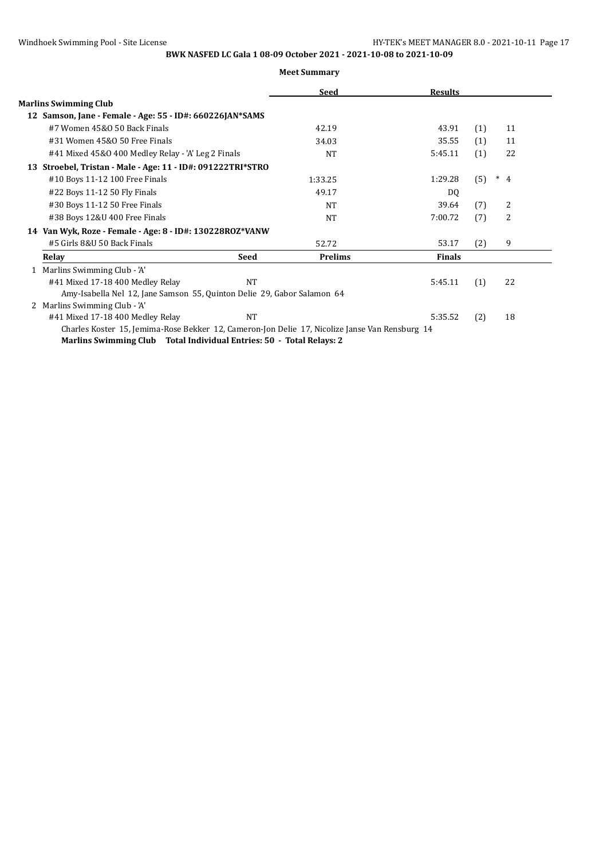|                                                                                                |             | Seed           | <b>Results</b> |     |                          |
|------------------------------------------------------------------------------------------------|-------------|----------------|----------------|-----|--------------------------|
| <b>Marlins Swimming Club</b>                                                                   |             |                |                |     |                          |
| 12 Samson, Jane - Female - Age: 55 - ID#: 660226JAN*SAMS                                       |             |                |                |     |                          |
| #7 Women 45&0 50 Back Finals                                                                   |             | 42.19          | 43.91          | (1) | 11                       |
| #31 Women 45&0 50 Free Finals                                                                  |             | 34.03          | 35.55          | (1) | 11                       |
| #41 Mixed 45&0 400 Medley Relay - 'A' Leg 2 Finals                                             |             | <b>NT</b>      | 5:45.11        | (1) | 22                       |
| 13 Stroebel, Tristan - Male - Age: 11 - ID#: 091222TRI*STRO                                    |             |                |                |     |                          |
| #10 Boys 11-12 100 Free Finals                                                                 |             | 1:33.25        | 1:29.28        | (5) | $\ast$<br>$\overline{4}$ |
| #22 Boys 11-12 50 Fly Finals                                                                   |             | 49.17          | DQ             |     |                          |
| #30 Boys 11-12 50 Free Finals                                                                  |             | <b>NT</b>      | 39.64          | (7) | 2                        |
| #38 Boys 12&U 400 Free Finals                                                                  |             | <b>NT</b>      | 7:00.72        | (7) | 2                        |
| 14 Van Wyk, Roze - Female - Age: 8 - ID#: 130228ROZ*VANW                                       |             |                |                |     |                          |
| #5 Girls 8&U 50 Back Finals                                                                    |             | 52.72          | 53.17          | (2) | 9                        |
| Relay                                                                                          | <b>Seed</b> | <b>Prelims</b> | <b>Finals</b>  |     |                          |
| Marlins Swimming Club - 'A'                                                                    |             |                |                |     |                          |
| #41 Mixed 17-18 400 Medley Relay                                                               | <b>NT</b>   |                | 5:45.11        | (1) | 22                       |
| Amy-Isabella Nel 12, Jane Samson 55, Quinton Delie 29, Gabor Salamon 64                        |             |                |                |     |                          |
| 2 Marlins Swimming Club - 'A'                                                                  |             |                |                |     |                          |
| #41 Mixed 17-18 400 Medley Relay                                                               | NT          |                | 5:35.52        | (2) | 18                       |
| Charles Koster 15, Jemima-Rose Bekker 12, Cameron-Jon Delie 17, Nicolize Janse Van Rensburg 14 |             |                |                |     |                          |
| Marlins Swimming Club Total Individual Entries: 50 - Total Relays: 2                           |             |                |                |     |                          |